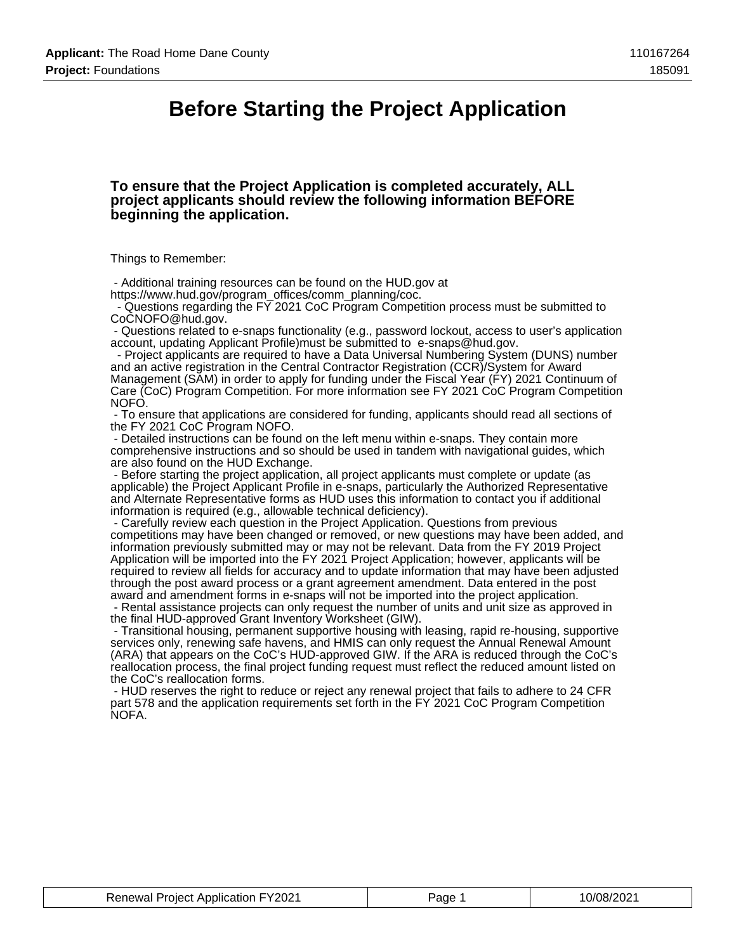### **Before Starting the Project Application**

#### **To ensure that the Project Application is completed accurately, ALL project applicants should review the following information BEFORE beginning the application.**

Things to Remember:

 - Additional training resources can be found on the HUD.gov at https://www.hud.gov/program\_offices/comm\_planning/coc.

 - Questions regarding the FY 2021 CoC Program Competition process must be submitted to CoCNOFO@hud.gov.

 - Questions related to e-snaps functionality (e.g., password lockout, access to user's application account, updating Applicant Profile)must be submitted to e-snaps@hud.gov.

 - Project applicants are required to have a Data Universal Numbering System (DUNS) number and an active registration in the Central Contractor Registration (CCR)/System for Award Management (SAM) in order to apply for funding under the Fiscal Year (FY) 2021 Continuum of Care (CoC) Program Competition. For more information see FY 2021 CoC Program Competition NOFO.

 - To ensure that applications are considered for funding, applicants should read all sections of the FY 2021 CoC Program NOFO.

 - Detailed instructions can be found on the left menu within e-snaps. They contain more comprehensive instructions and so should be used in tandem with navigational guides, which are also found on the HUD Exchange.

 - Before starting the project application, all project applicants must complete or update (as applicable) the Project Applicant Profile in e-snaps, particularly the Authorized Representative and Alternate Representative forms as HUD uses this information to contact you if additional information is required (e.g., allowable technical deficiency).

 - Carefully review each question in the Project Application. Questions from previous competitions may have been changed or removed, or new questions may have been added, and information previously submitted may or may not be relevant. Data from the FY 2019 Project Application will be imported into the FY 2021 Project Application; however, applicants will be required to review all fields for accuracy and to update information that may have been adjusted through the post award process or a grant agreement amendment. Data entered in the post award and amendment forms in e-snaps will not be imported into the project application.

 - Rental assistance projects can only request the number of units and unit size as approved in the final HUD-approved Grant Inventory Worksheet (GIW).

 - Transitional housing, permanent supportive housing with leasing, rapid re-housing, supportive services only, renewing safe havens, and HMIS can only request the Annual Renewal Amount (ARA) that appears on the CoC's HUD-approved GIW. If the ARA is reduced through the CoC's reallocation process, the final project funding request must reflect the reduced amount listed on the CoC's reallocation forms.

 - HUD reserves the right to reduce or reject any renewal project that fails to adhere to 24 CFR part 578 and the application requirements set forth in the FY 2021 CoC Program Competition NOFA.

| <b>Renewal Project Application FY2021</b> | Page | 10/08/2021 |
|-------------------------------------------|------|------------|
|-------------------------------------------|------|------------|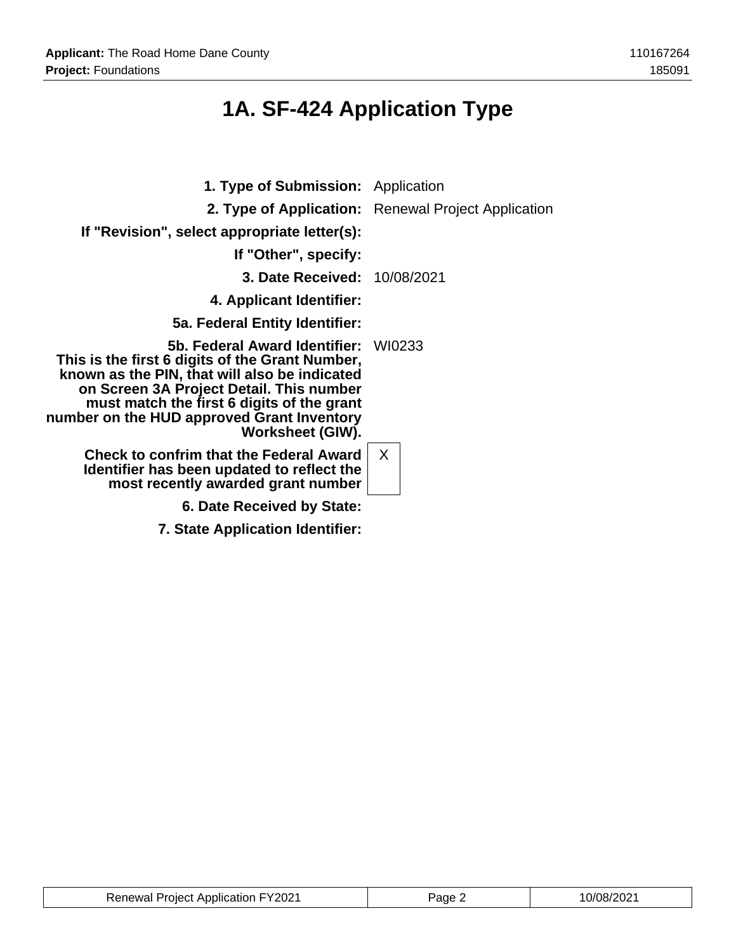# **1A. SF-424 Application Type**

| <b>1. Type of Submission:</b> Application                                                                                                                                                                                                                                                                   |                                                     |
|-------------------------------------------------------------------------------------------------------------------------------------------------------------------------------------------------------------------------------------------------------------------------------------------------------------|-----------------------------------------------------|
|                                                                                                                                                                                                                                                                                                             | 2. Type of Application: Renewal Project Application |
| If "Revision", select appropriate letter(s):                                                                                                                                                                                                                                                                |                                                     |
| If "Other", specify:                                                                                                                                                                                                                                                                                        |                                                     |
| <b>3. Date Received: 10/08/2021</b>                                                                                                                                                                                                                                                                         |                                                     |
| 4. Applicant Identifier:                                                                                                                                                                                                                                                                                    |                                                     |
| 5a. Federal Entity Identifier:                                                                                                                                                                                                                                                                              |                                                     |
| <b>5b. Federal Award Identifier: WI0233</b><br>This is the first 6 digits of the Grant Number,<br>known as the PIN, that will also be indicated<br>on Screen 3A Project Detail. This number<br>must match the first 6 digits of the grant<br>number on the HUD approved Grant Inventory<br>Worksheet (GIW). |                                                     |
| <b>Check to confrim that the Federal Award</b><br>Identifier has been updated to reflect the<br>most recently awarded grant number                                                                                                                                                                          | $\mathsf{X}$                                        |
| 6. Date Received by State:                                                                                                                                                                                                                                                                                  |                                                     |
| 7. State Application Identifier:                                                                                                                                                                                                                                                                            |                                                     |

| <b>Renewal Project Application FY2021</b> | Page 2 | 10/08/2021 |
|-------------------------------------------|--------|------------|
|-------------------------------------------|--------|------------|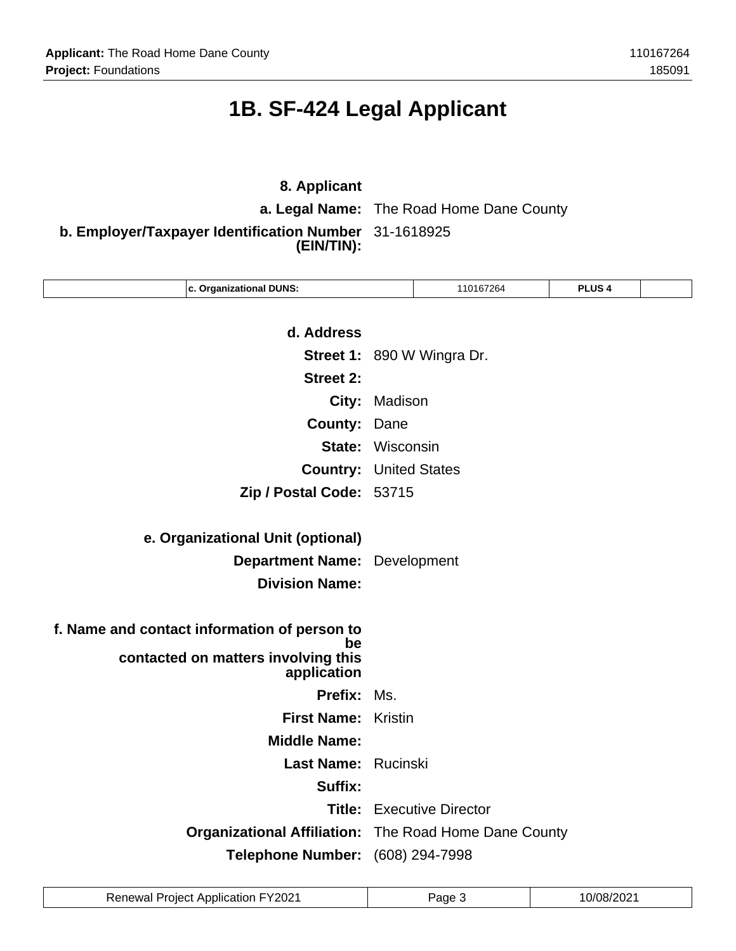## **1B. SF-424 Legal Applicant**

### **8. Applicant**

**a. Legal Name:** The Road Home Dane County

**b. Employer/Taxpayer Identification Number** 31-1618925 **(EIN/TIN):**

| c. Organizational DUNS:                                      |               | 110167264                        | <b>PLUS4</b> |  |
|--------------------------------------------------------------|---------------|----------------------------------|--------------|--|
|                                                              |               |                                  |              |  |
| d. Address                                                   |               |                                  |              |  |
|                                                              |               | Street 1: 890 W Wingra Dr.       |              |  |
| <b>Street 2:</b>                                             |               |                                  |              |  |
|                                                              | City: Madison |                                  |              |  |
| <b>County:</b>                                               | Dane          |                                  |              |  |
| <b>State: Wisconsin</b>                                      |               |                                  |              |  |
| <b>Country: United States</b>                                |               |                                  |              |  |
| Zip / Postal Code: 53715                                     |               |                                  |              |  |
|                                                              |               |                                  |              |  |
| e. Organizational Unit (optional)                            |               |                                  |              |  |
| <b>Department Name: Development</b>                          |               |                                  |              |  |
| <b>Division Name:</b>                                        |               |                                  |              |  |
|                                                              |               |                                  |              |  |
| f. Name and contact information of person to<br>be           |               |                                  |              |  |
| contacted on matters involving this<br>application           |               |                                  |              |  |
| Prefix:                                                      | Ms.           |                                  |              |  |
| <b>First Name: Kristin</b>                                   |               |                                  |              |  |
| <b>Middle Name:</b>                                          |               |                                  |              |  |
| Last Name: Rucinski                                          |               |                                  |              |  |
| Suffix:                                                      |               |                                  |              |  |
|                                                              |               | <b>Title: Executive Director</b> |              |  |
| <b>Organizational Affiliation:</b> The Road Home Dane County |               |                                  |              |  |
| Telephone Number: (608) 294-7998                             |               |                                  |              |  |
|                                                              |               |                                  |              |  |

| <b>Renewal Project Application FY2021</b> | Page 1 | 10/08/2021 |
|-------------------------------------------|--------|------------|
|-------------------------------------------|--------|------------|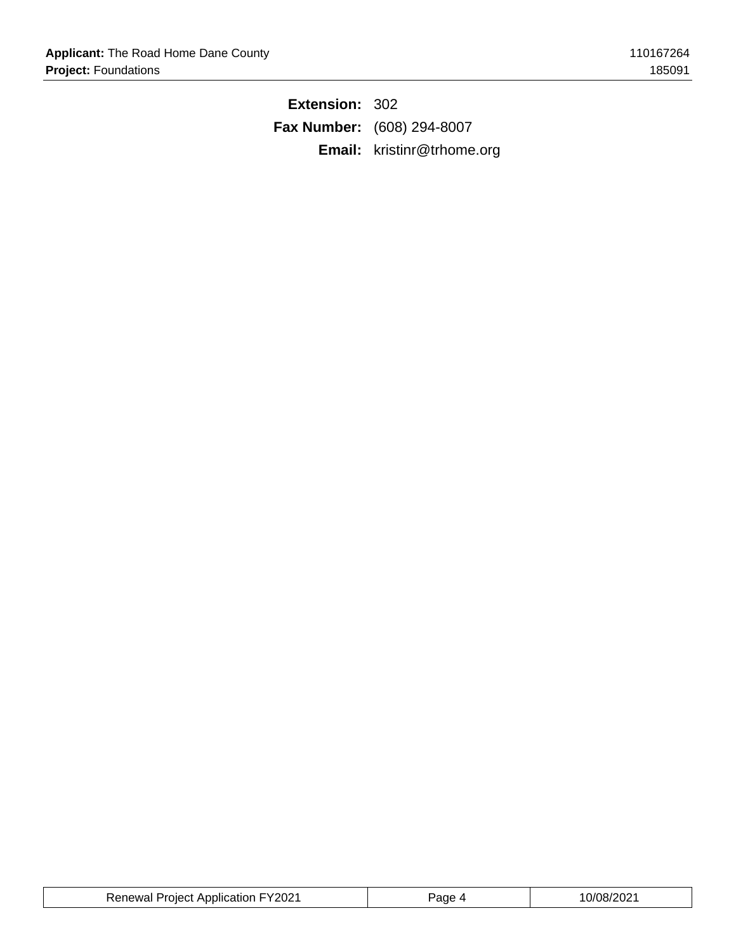**Extension:** 302 **Fax Number:** (608) 294-8007 **Email:** kristinr@trhome.org

| <b>Renewal Project Application FY2021</b> | 'age | 0/08/2021 |
|-------------------------------------------|------|-----------|
|-------------------------------------------|------|-----------|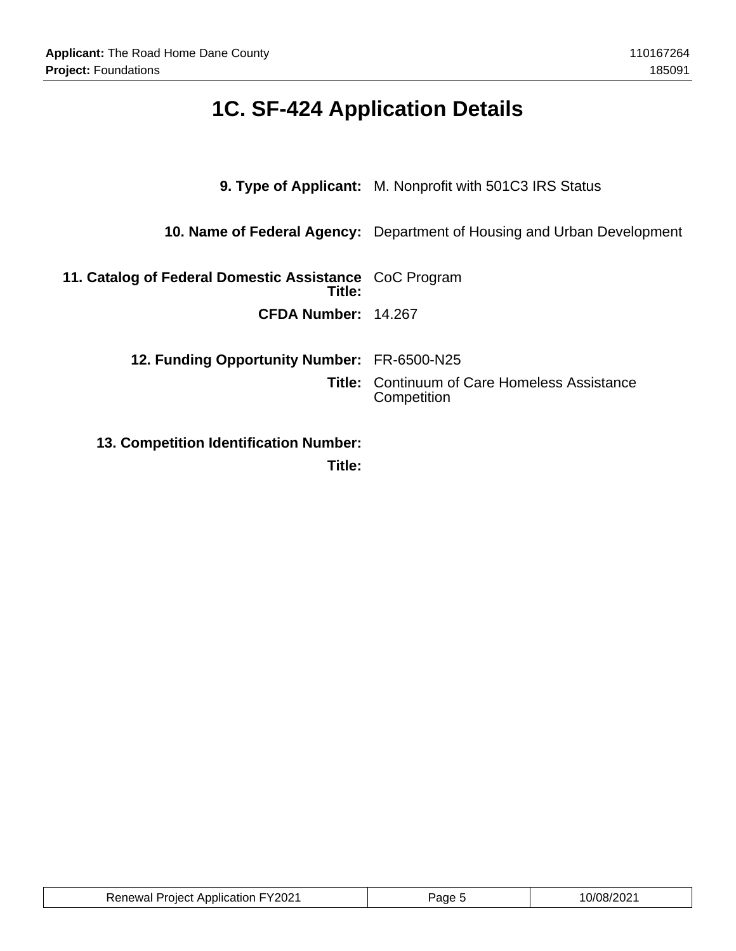# **1C. SF-424 Application Details**

|                                                                  | 9. Type of Applicant: M. Nonprofit with 501C3 IRS Status                |
|------------------------------------------------------------------|-------------------------------------------------------------------------|
|                                                                  | 10. Name of Federal Agency: Department of Housing and Urban Development |
| 11. Catalog of Federal Domestic Assistance CoC Program<br>Title: |                                                                         |
| CFDA Number: 14.267                                              |                                                                         |
| 12. Funding Opportunity Number: FR-6500-N25                      |                                                                         |
|                                                                  | <b>Title:</b> Continuum of Care Homeless Assistance<br>Competition      |
| <b>13. Competition Identification Number:</b>                    |                                                                         |
|                                                                  |                                                                         |

**Title:**

| ا021 - مست<br>-Annlicatio<br>Proiect<br>Renewal |  | ے()' |
|-------------------------------------------------|--|------|
|-------------------------------------------------|--|------|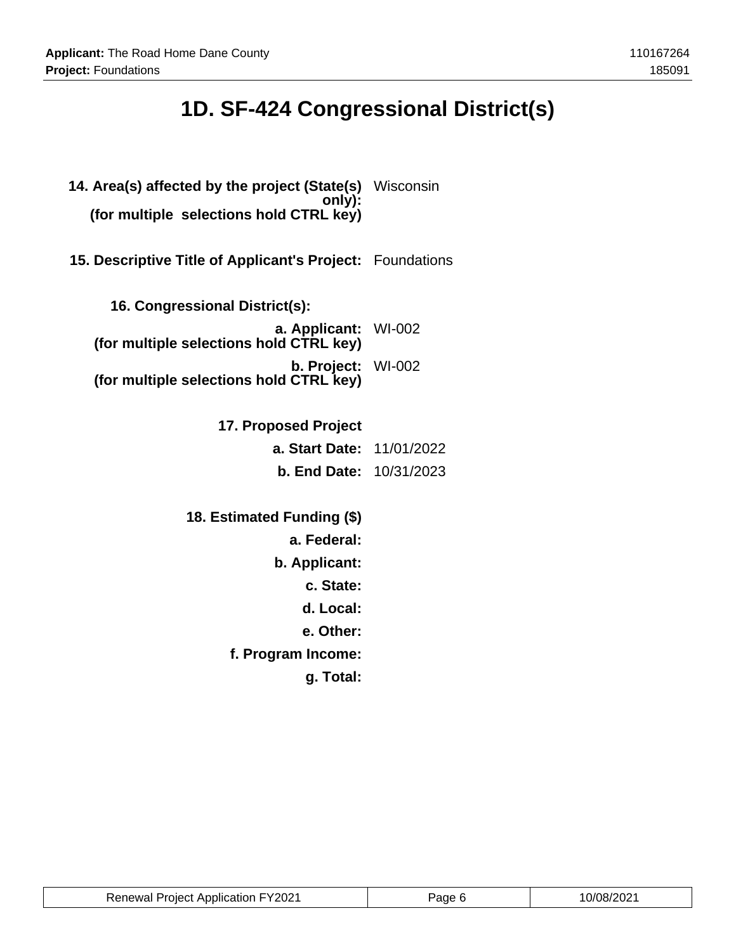# **1D. SF-424 Congressional District(s)**

| 14. Area(s) affected by the project (State(s)<br>only):<br>(for multiple selections hold CTRL key) | Wisconsin |
|----------------------------------------------------------------------------------------------------|-----------|
| 15. Descriptive Title of Applicant's Project: Foundations                                          |           |
| 16. Congressional District(s):                                                                     |           |
| a. Applicant: WI-002<br>(for multiple selections hold CTRL key)                                    |           |
| b. Project: WI-002<br>(for multiple selections hold CTRL key)                                      |           |
| 17. Proposed Project                                                                               |           |
| a. Start Date: 11/01/2022                                                                          |           |
| b. End Date: 10/31/2023                                                                            |           |
| 18. Estimated Funding (\$)                                                                         |           |
| a. Federal:                                                                                        |           |
| b. Applicant:                                                                                      |           |
| c. State:                                                                                          |           |
| d. Local:                                                                                          |           |
| e. Other:<br>f. Program Income:                                                                    |           |
|                                                                                                    |           |
| g. Total:                                                                                          |           |

| <b>Renewal Project Application FY2021</b> | Page 6 | 10/08/2021 |
|-------------------------------------------|--------|------------|
|-------------------------------------------|--------|------------|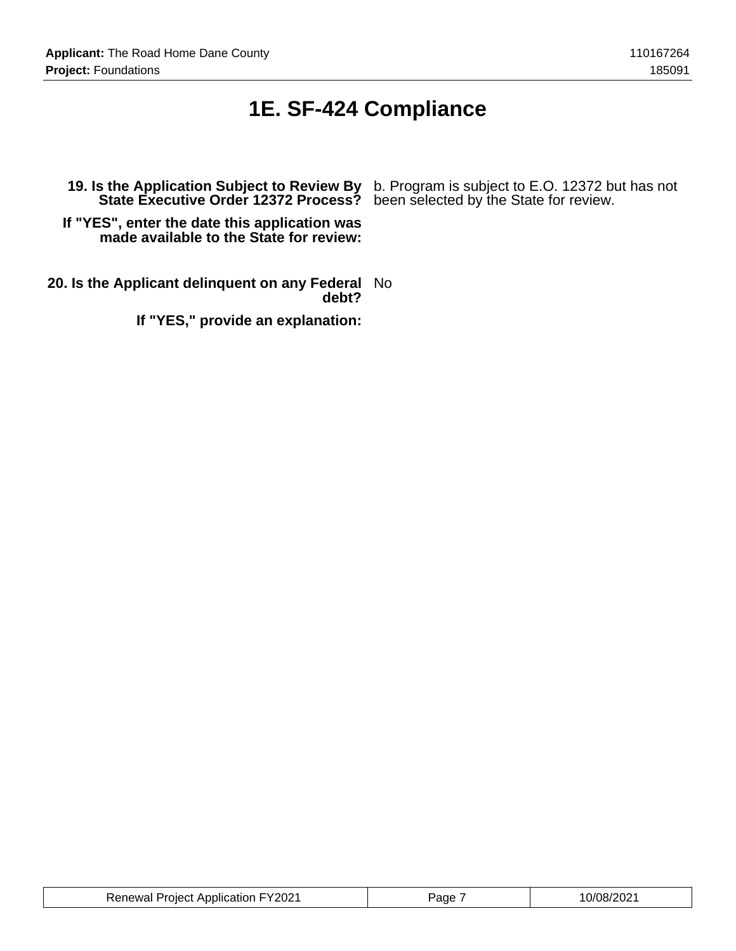| <b>Renewal Project Application FY2021</b> | Page | 10/08/2021 |
|-------------------------------------------|------|------------|
|-------------------------------------------|------|------------|

### **1E. SF-424 Compliance**

**19. Is the Application Subject to Revie State Executive Order 12372 Process?**

**If "YES", enter the date this application was made available to the State for review:**

**20. Is the Applicant delinquent on any Federal** No **debt?**

**If "YES," provide an explanation:**

| <b>w By</b> b. Program is subject to E.O. 12372 but has not<br>ess? been selected by the State for review. |
|------------------------------------------------------------------------------------------------------------|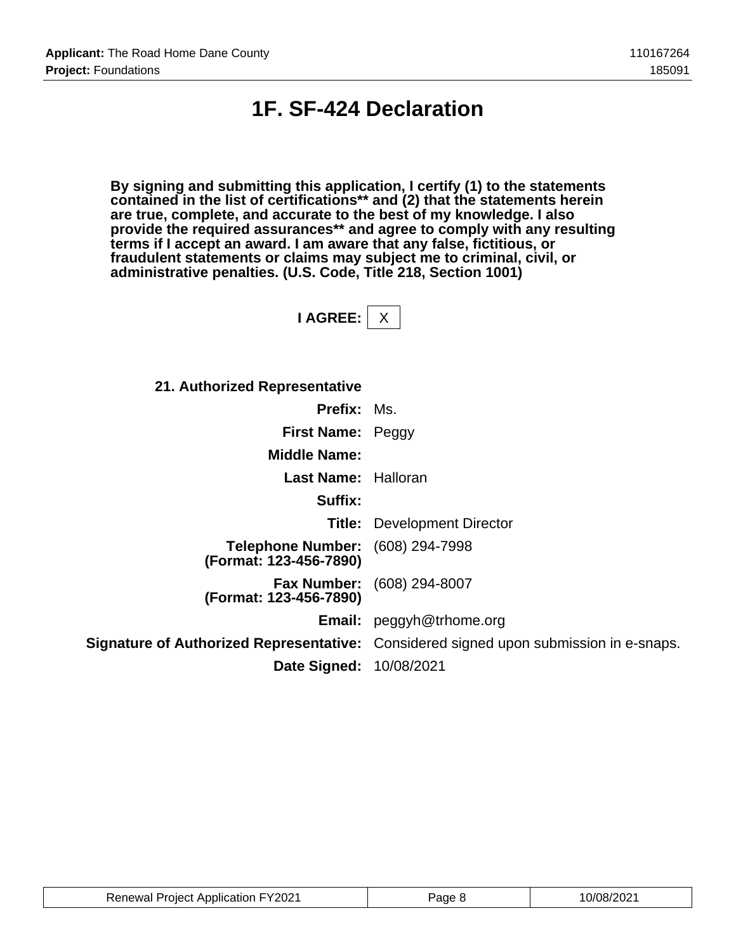## **1F. SF-424 Declaration**

**By signing and submitting this application, I certify (1) to the statements contained in the list of certifications\*\* and (2) that the statements herein are true, complete, and accurate to the best of my knowledge. I also provide the required assurances\*\* and agree to comply with any resulting terms if I accept an award. I am aware that any false, fictitious, or fraudulent statements or claims may subject me to criminal, civil, or administrative penalties. (U.S. Code, Title 218, Section 1001)**

**I AGREE:** X

**21. Authorized Representative**

| <b>Prefix: Ms.</b>                                                |                                                                                              |
|-------------------------------------------------------------------|----------------------------------------------------------------------------------------------|
| <b>First Name: Peggy</b>                                          |                                                                                              |
| <b>Middle Name:</b>                                               |                                                                                              |
| Last Name: Halloran                                               |                                                                                              |
| Suffix:                                                           |                                                                                              |
|                                                                   | <b>Title:</b> Development Director                                                           |
| <b>Telephone Number:</b> (608) 294-7998<br>(Format: 123-456-7890) |                                                                                              |
| (Format: 123-456-7890)                                            | <b>Fax Number:</b> (608) 294-8007                                                            |
|                                                                   | Email: peggyh@trhome.org                                                                     |
|                                                                   | <b>Signature of Authorized Representative:</b> Considered signed upon submission in e-snaps. |
| Date Signed: 10/08/2021                                           |                                                                                              |

| <b>Renewal Project Application FY2021</b> | 'age | $J/08/202^4$ |
|-------------------------------------------|------|--------------|
|-------------------------------------------|------|--------------|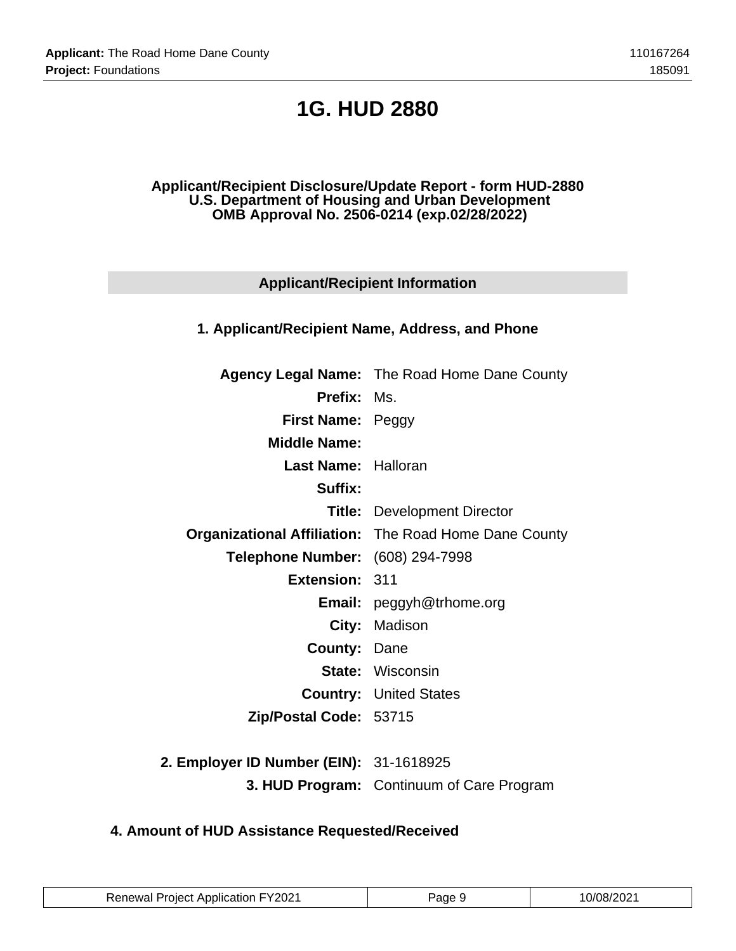## **1G. HUD 2880**

#### **Applicant/Recipient Disclosure/Update Report - form HUD-2880 U.S. Department of Housing and Urban Development OMB Approval No. 2506-0214 (exp.02/28/2022)**

### **Applicant/Recipient Information**

### **1. Applicant/Recipient Name, Address, and Phone**

|                                         | <b>Agency Legal Name:</b> The Road Home Dane County          |
|-----------------------------------------|--------------------------------------------------------------|
| <b>Prefix: Ms.</b>                      |                                                              |
| <b>First Name: Peggy</b>                |                                                              |
| Middle Name:                            |                                                              |
| <b>Last Name: Halloran</b>              |                                                              |
| Suffix:                                 |                                                              |
|                                         | <b>Title:</b> Development Director                           |
|                                         | <b>Organizational Affiliation:</b> The Road Home Dane County |
| <b>Telephone Number:</b> (608) 294-7998 |                                                              |
| <b>Extension: 311</b>                   |                                                              |
|                                         | <b>Email:</b> peggyh@trhome.org                              |
|                                         | <b>City: Madison</b>                                         |
| <b>County: Dane</b>                     |                                                              |
|                                         | <b>State: Wisconsin</b>                                      |
|                                         | <b>Country: United States</b>                                |
| Zip/Postal Code: 53715                  |                                                              |
|                                         |                                                              |

**2. Employer ID Number (EIN):** 31-1618925 **3. HUD Program:** Continuum of Care Program

### **4. Amount of HUD Assistance Requested/Received**

| <b>Renewal Project Application FY2021</b> | Page 9 | 10/08/2021 |
|-------------------------------------------|--------|------------|
|-------------------------------------------|--------|------------|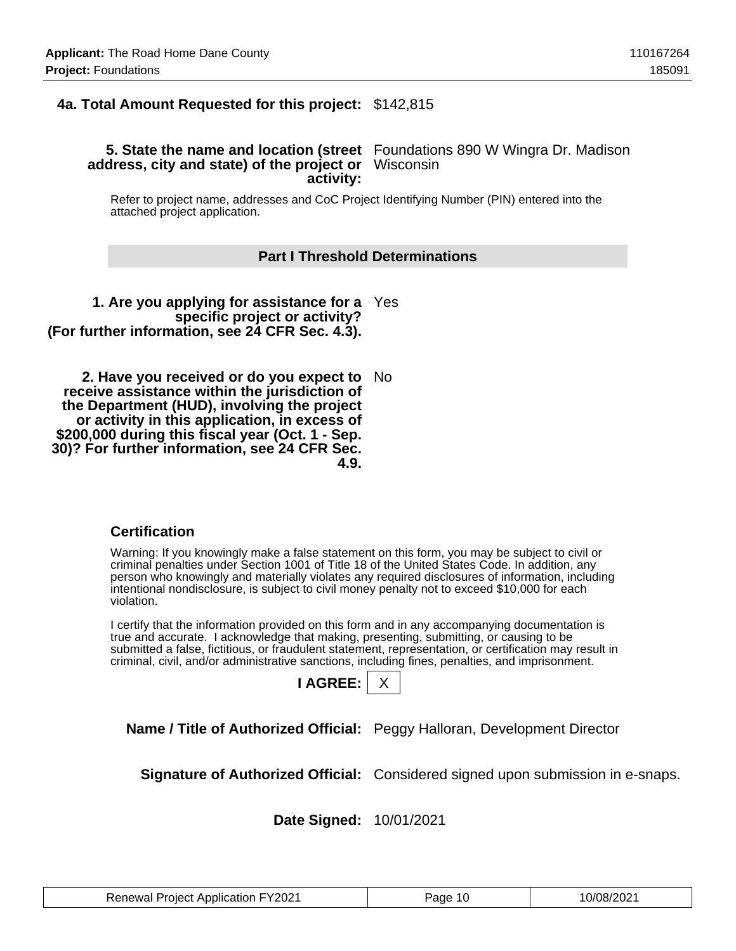### **4a. Total Amount Requested for this project:** \$142,815

#### **5. State the name and location (street** Foundations 890 W Wingra Dr. Madison **address, city and state) of the project or** Wisconsin **activity:**

Refer to project name, addresses and CoC Project Identifying Number (PIN) entered into the attached project application.

#### **Part I Threshold Determinations**

**1. Are you applying for assistance for a** Yes **specific project or activity? (For further information, see 24 CFR Sec. 4.3).**

**2. Have you received or do you expect to** No **receive assistance within the jurisdiction of the Department (HUD), involving the project or activity in this application, in excess of \$200,000 during this fiscal year (Oct. 1 - Sep. 30)? For further information, see 24 CFR Sec. 4.9.**

#### **Certification**

Warning: If you knowingly make a false statement on this form, you may be subject to civil or criminal penalties under Section 1001 of Title 18 of the United States Code. In addition, any person who knowingly and materially violates any required disclosures of information, including intentional nondisclosure, is subject to civil money penalty not to exceed \$10,000 for each violation.

I certify that the information provided on this form and in any accompanying documentation is true and accurate. I acknowledge that making, presenting, submitting, or causing to be submitted a false, fictitious, or fraudulent statement, representation, or certification may result in criminal, civil, and/or administrative sanctions, including fines, penalties, and imprisonment.

| <b>AGREE:</b> |  |
|---------------|--|
|---------------|--|

**Name / Title of Authorized Official:** Peggy Halloran, Development Director

**Signature of Authorized Official:** Considered signed upon submission in e-snaps.

**Date Signed:** 10/01/2021

| FY2021<br>! Proiect Application<br>Renewal | 'age | 10/08/2021 |
|--------------------------------------------|------|------------|
|--------------------------------------------|------|------------|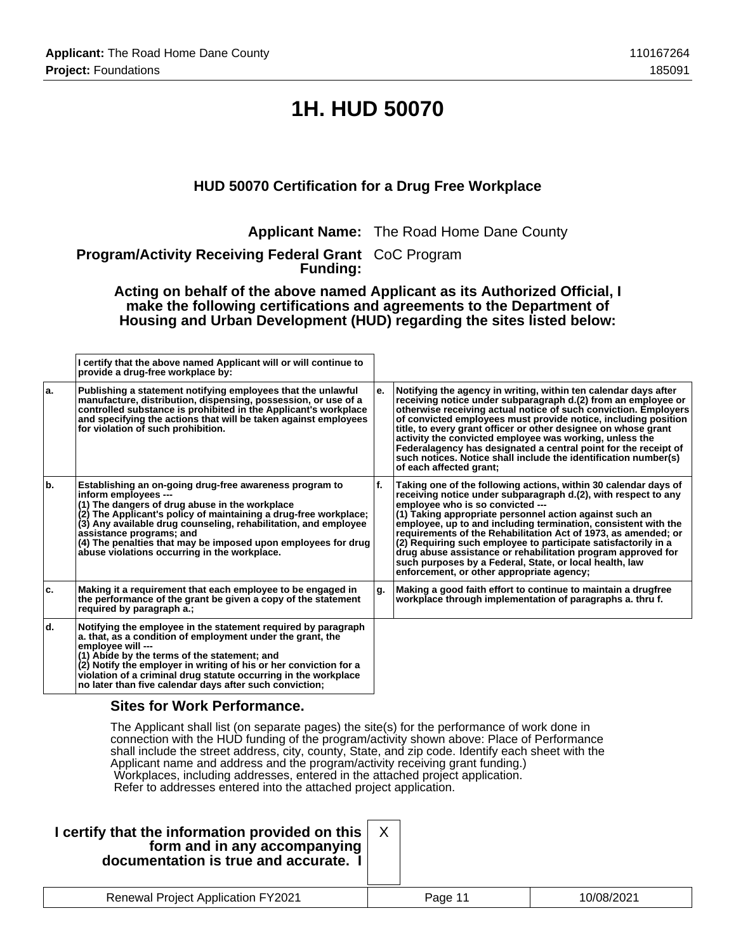## **1H. HUD 50070**

### **HUD 50070 Certification for a Drug Free Workplace**

**Applicant Name:** The Road Home Dane County

**Program/Activity Receiving Federal Grant** CoC Program **Funding:**

**Acting on behalf of the above named Applicant as its Authorized Official, I make the following certifications and agreements to the Department of Housing and Urban Development (HUD) regarding the sites listed below:**

|     | I certify that the above named Applicant will or will continue to<br>provide a drug-free workplace by:                                                                                                                                                                                                                                                                                                                |    |                                                                                                                                                                                                                                                                                                                                                                                                                                                                                                                                                                                                                |
|-----|-----------------------------------------------------------------------------------------------------------------------------------------------------------------------------------------------------------------------------------------------------------------------------------------------------------------------------------------------------------------------------------------------------------------------|----|----------------------------------------------------------------------------------------------------------------------------------------------------------------------------------------------------------------------------------------------------------------------------------------------------------------------------------------------------------------------------------------------------------------------------------------------------------------------------------------------------------------------------------------------------------------------------------------------------------------|
| la. | Publishing a statement notifying employees that the unlawful<br>manufacture, distribution, dispensing, possession, or use of a<br>controlled substance is prohibited in the Applicant's workplace<br>and specifying the actions that will be taken against employees<br>for violation of such prohibition.                                                                                                            | е. | Notifying the agency in writing, within ten calendar days after<br>receiving notice under subparagraph d.(2) from an employee or<br>otherwise receiving actual notice of such conviction. Employers<br>of convicted employees must provide notice, including position<br>title, to every grant officer or other designee on whose grant<br>activity the convicted employee was working, unless the<br>Federalagency has designated a central point for the receipt of<br>such notices. Notice shall include the identification number(s)<br>of each affected grant:                                            |
| b.  | Establishing an on-going drug-free awareness program to<br>inform employees ---<br>(1) The dangers of drug abuse in the workplace<br>(2) The Applicant's policy of maintaining a drug-free workplace;<br>(3) Any available drug counseling, rehabilitation, and employee<br>assistance programs; and<br>(4) The penalties that may be imposed upon employees for drug<br>abuse violations occurring in the workplace. | f. | Taking one of the following actions, within 30 calendar days of<br>receiving notice under subparagraph d.(2), with respect to any<br>emplovee who is so convicted ---<br>(1) Taking appropriate personnel action against such an<br>employee, up to and including termination, consistent with the<br>requirements of the Rehabilitation Act of 1973, as amended; or<br>(2) Requiring such employee to participate satisfactorily in a<br>drug abuse assistance or rehabilitation program approved for<br>such purposes by a Federal, State, or local health, law<br>enforcement, or other appropriate agency; |
| ۱c. | Making it a requirement that each employee to be engaged in<br>the performance of the grant be given a copy of the statement<br>required by paragraph a.;                                                                                                                                                                                                                                                             | g. | Making a good faith effort to continue to maintain a drugfree<br>workplace through implementation of paragraphs a. thru f.                                                                                                                                                                                                                                                                                                                                                                                                                                                                                     |
| d.  | Notifying the employee in the statement required by paragraph<br>a. that, as a condition of employment under the grant, the<br>employee will ---<br>$(1)$ Abide by the terms of the statement; and<br>(2) Notify the employer in writing of his or her conviction for a<br>violation of a criminal drug statute occurring in the workplace<br>no later than five calendar days after such conviction;                 |    |                                                                                                                                                                                                                                                                                                                                                                                                                                                                                                                                                                                                                |

#### **Sites for Work Performance.**

The Applicant shall list (on separate pages) the site(s) for the performance of work done in connection with the HUD funding of the program/activity shown above: Place of Performance shall include the street address, city, county, State, and zip code. Identify each sheet with the Applicant name and address and the program/activity receiving grant funding.) Workplaces, including addresses, entered in the attached project application. Refer to addresses entered into the attached project application.

| I certify that the information provided on this $ $<br>form and in any accompanying<br>documentation is true and accurate. I |         |            |
|------------------------------------------------------------------------------------------------------------------------------|---------|------------|
| <b>Renewal Project Application FY2021</b>                                                                                    | Page 11 | 10/08/2021 |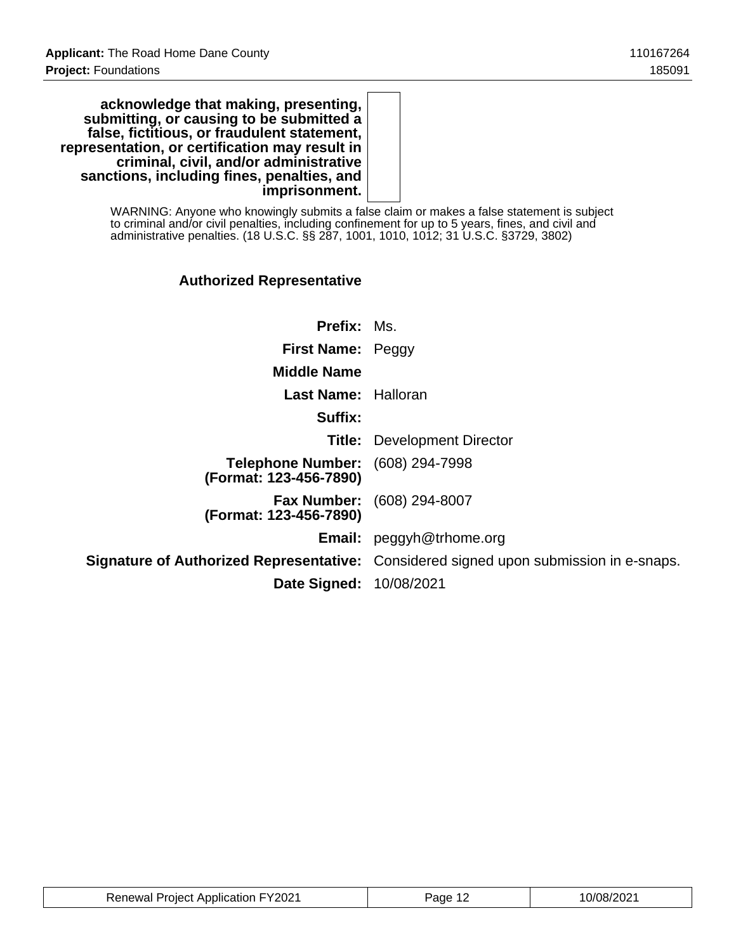**acknowledge that making, presenting, submitting, or causing to be submitted a false, fictitious, or fraudulent statement, representation, or certification may result in criminal, civil, and/or administrative sanctions, including fines, penalties, and imprisonment.**

> WARNING: Anyone who knowingly submits a false claim or makes a false statement is subject to criminal and/or civil penalties, including confinement for up to 5 years, fines, and civil and administrative penalties. (18 U.S.C. §§ 287, 1001, 1010, 1012; 31 U.S.C. §3729, 3802)

### **Authorized Representative**

| <b>Prefix: Ms.</b>                                 |                                                                                              |
|----------------------------------------------------|----------------------------------------------------------------------------------------------|
| First Name: Peggy                                  |                                                                                              |
| <b>Middle Name</b>                                 |                                                                                              |
| <b>Last Name: Halloran</b>                         |                                                                                              |
| Suffix:                                            |                                                                                              |
|                                                    | <b>Title:</b> Development Director                                                           |
| <b>Telephone Number:</b><br>(Format: 123-456-7890) | (608) 294-7998                                                                               |
| (Format: 123-456-7890)                             | <b>Fax Number:</b> (608) 294-8007                                                            |
|                                                    | <b>Email:</b> $peggyh@trhome.org$                                                            |
|                                                    | <b>Signature of Authorized Representative:</b> Considered signed upon submission in e-snaps. |
| <b>Date Signed: 10/08/2021</b>                     |                                                                                              |

| <b>Renewal Project Application FY2021</b> | age | 10/08/2021 |
|-------------------------------------------|-----|------------|
|-------------------------------------------|-----|------------|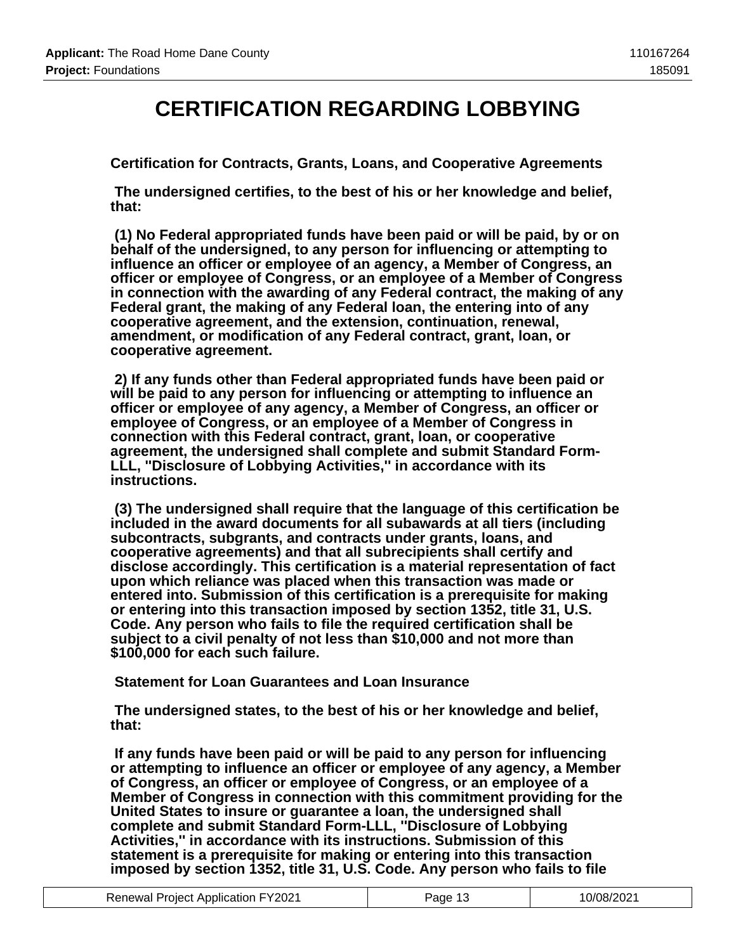## **CERTIFICATION REGARDING LOBBYING**

**Certification for Contracts, Grants, Loans, and Cooperative Agreements**

 **The undersigned certifies, to the best of his or her knowledge and belief, that:**

 **(1) No Federal appropriated funds have been paid or will be paid, by or on behalf of the undersigned, to any person for influencing or attempting to influence an officer or employee of an agency, a Member of Congress, an officer or employee of Congress, or an employee of a Member of Congress in connection with the awarding of any Federal contract, the making of any Federal grant, the making of any Federal loan, the entering into of any cooperative agreement, and the extension, continuation, renewal, amendment, or modification of any Federal contract, grant, loan, or cooperative agreement.**

 **2) If any funds other than Federal appropriated funds have been paid or will be paid to any person for influencing or attempting to influence an officer or employee of any agency, a Member of Congress, an officer or employee of Congress, or an employee of a Member of Congress in connection with this Federal contract, grant, loan, or cooperative agreement, the undersigned shall complete and submit Standard Form-LLL, ''Disclosure of Lobbying Activities,'' in accordance with its instructions.**

 **(3) The undersigned shall require that the language of this certification be included in the award documents for all subawards at all tiers (including subcontracts, subgrants, and contracts under grants, loans, and cooperative agreements) and that all subrecipients shall certify and disclose accordingly. This certification is a material representation of fact upon which reliance was placed when this transaction was made or entered into. Submission of this certification is a prerequisite for making or entering into this transaction imposed by section 1352, title 31, U.S. Code. Any person who fails to file the required certification shall be subject to a civil penalty of not less than \$10,000 and not more than \$100,000 for each such failure.**

 **Statement for Loan Guarantees and Loan Insurance**

 **The undersigned states, to the best of his or her knowledge and belief, that:**

 **If any funds have been paid or will be paid to any person for influencing or attempting to influence an officer or employee of any agency, a Member of Congress, an officer or employee of Congress, or an employee of a Member of Congress in connection with this commitment providing for the United States to insure or guarantee a loan, the undersigned shall complete and submit Standard Form-LLL, ''Disclosure of Lobbying Activities,'' in accordance with its instructions. Submission of this statement is a prerequisite for making or entering into this transaction imposed by section 1352, title 31, U.S. Code. Any person who fails to file**

| <b>Renewal Project Application FY2021</b> | Page 13 | 10/08/2021 |
|-------------------------------------------|---------|------------|
|-------------------------------------------|---------|------------|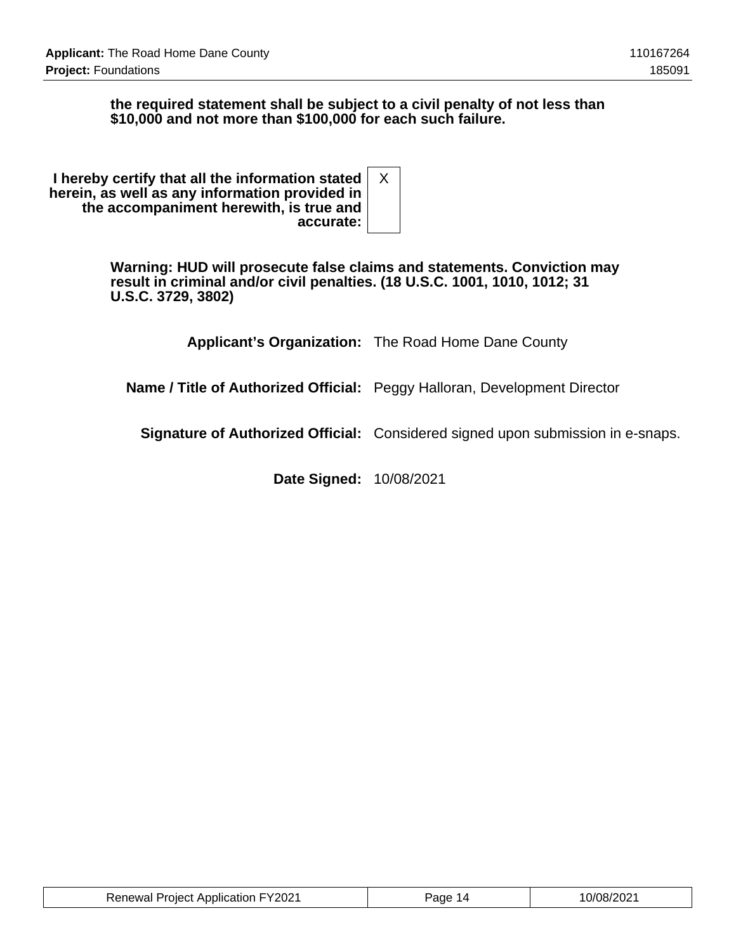#### **the required statement shall be subject to a civil penalty of not less than \$10,000 and not more than \$100,000 for each such failure.**

**Warning: HUD will prosecute false claims and statements. Conviction may result in criminal and/or civil penalties. (18 U.S.C. 1001, 1010, 1012; 31 U.S.C. 3729, 3802)**

**Applicant's Organization:** The Road Home Dane County

**Name / Title of Authorized Official:** Peggy Halloran, Development Director

**Signature of Authorized Official:** Considered signed upon submission in e-snaps.

**Date Signed:** 10/08/2021

| <b>Renewal Project Application FY2021</b> | Page 14 | 10/08/2021 |
|-------------------------------------------|---------|------------|
|-------------------------------------------|---------|------------|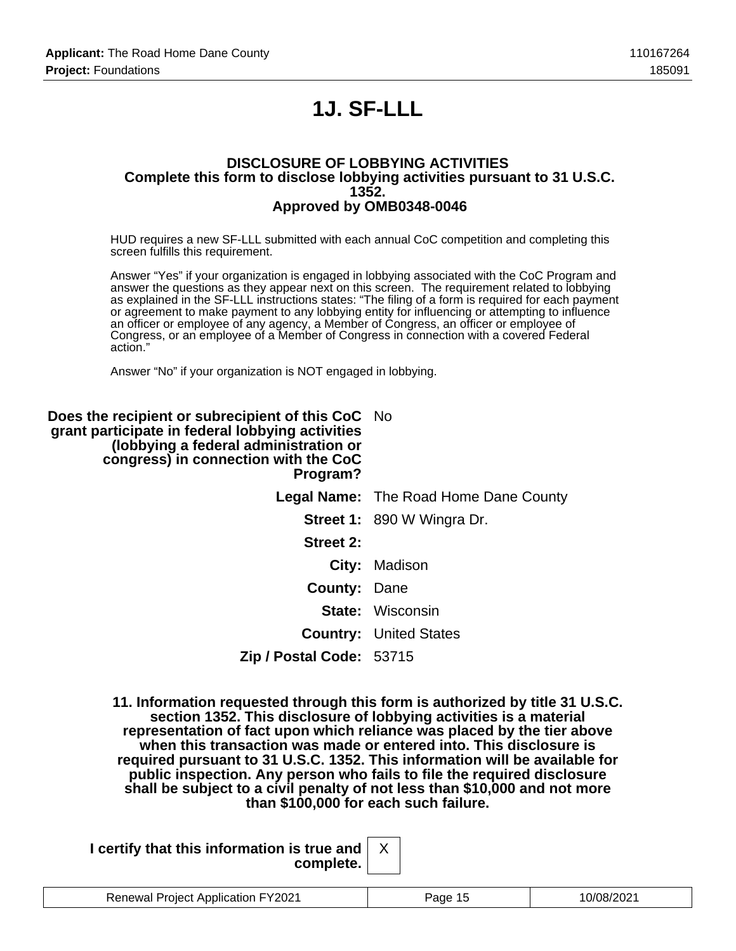# **1J. SF-LLL**

#### **DISCLOSURE OF LOBBYING ACTIVITIES Complete this form to disclose lobbying activities pursuant to 31 U.S.C. 1352. Approved by OMB0348-0046**

HUD requires a new SF-LLL submitted with each annual CoC competition and completing this screen fulfills this requirement.

Answer "Yes" if your organization is engaged in lobbying associated with the CoC Program and answer the questions as they appear next on this screen. The requirement related to lobbying as explained in the SF-LLL instructions states: "The filing of a form is required for each payment or agreement to make payment to any lobbying entity for influencing or attempting to influence an officer or employee of any agency, a Member of Congress, an officer or employee of Congress, or an employee of a Member of Congress in connection with a covered Federal action."

Answer "No" if your organization is NOT engaged in lobbying.

| <b>Does the recipient or subrecipient of this CoC</b> No<br>grant participate in federal lobbying activities<br>(lobbying a federal administration or<br>congress) in connection with the CoC<br>Program? |                                              |
|-----------------------------------------------------------------------------------------------------------------------------------------------------------------------------------------------------------|----------------------------------------------|
|                                                                                                                                                                                                           | <b>Legal Name:</b> The Road Home Dane County |
|                                                                                                                                                                                                           | <b>Street 1: 890 W Wingra Dr.</b>            |
| <b>Street 2:</b>                                                                                                                                                                                          |                                              |
|                                                                                                                                                                                                           | City: Madison                                |
| <b>County: Dane</b>                                                                                                                                                                                       |                                              |
|                                                                                                                                                                                                           | <b>State: Wisconsin</b>                      |
|                                                                                                                                                                                                           | <b>Country: United States</b>                |
| Zip / Postal Code: 53715                                                                                                                                                                                  |                                              |

**11. Information requested through this form is authorized by title 31 U.S.C. section 1352. This disclosure of lobbying activities is a material representation of fact upon which reliance was placed by the tier above when this transaction was made or entered into. This disclosure is required pursuant to 31 U.S.C. 1352. This information will be available for public inspection. Any person who fails to file the required disclosure shall be subject to a civil penalty of not less than \$10,000 and not more than \$100,000 for each such failure.**

| I certify that this information is true and $\vert$ |  |
|-----------------------------------------------------|--|
| complete. $ $                                       |  |

| n FY2021 است<br>: Application.<br>Renewal<br>Proiect | Pane≀ | <br>∍ יורוי<br>uz |
|------------------------------------------------------|-------|-------------------|
|                                                      |       |                   |

X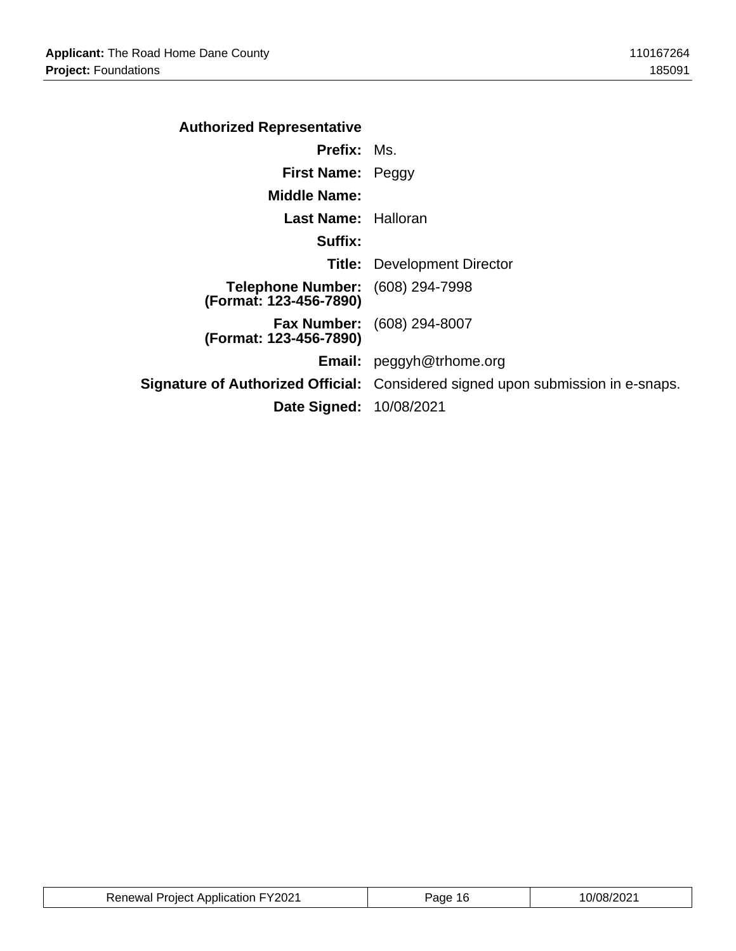| <b>Authorized Representative</b>                                  |                                                                                        |
|-------------------------------------------------------------------|----------------------------------------------------------------------------------------|
| <b>Prefix: Ms.</b>                                                |                                                                                        |
| <b>First Name: Peggy</b>                                          |                                                                                        |
| <b>Middle Name:</b>                                               |                                                                                        |
| <b>Last Name: Halloran</b>                                        |                                                                                        |
| Suffix:                                                           |                                                                                        |
|                                                                   | <b>Title:</b> Development Director                                                     |
| <b>Telephone Number:</b> (608) 294-7998<br>(Format: 123-456-7890) |                                                                                        |
| (Format: 123-456-7890)                                            | <b>Fax Number:</b> (608) 294-8007                                                      |
|                                                                   | <b>Email:</b> $peggyh@trhome.org$                                                      |
|                                                                   | <b>Signature of Authorized Official:</b> Considered signed upon submission in e-snaps. |
| <b>Date Signed: 10/08/2021</b>                                    |                                                                                        |

| <b>Renewal Project Application FY2021</b> | Page | 10/08/2021 |
|-------------------------------------------|------|------------|
|-------------------------------------------|------|------------|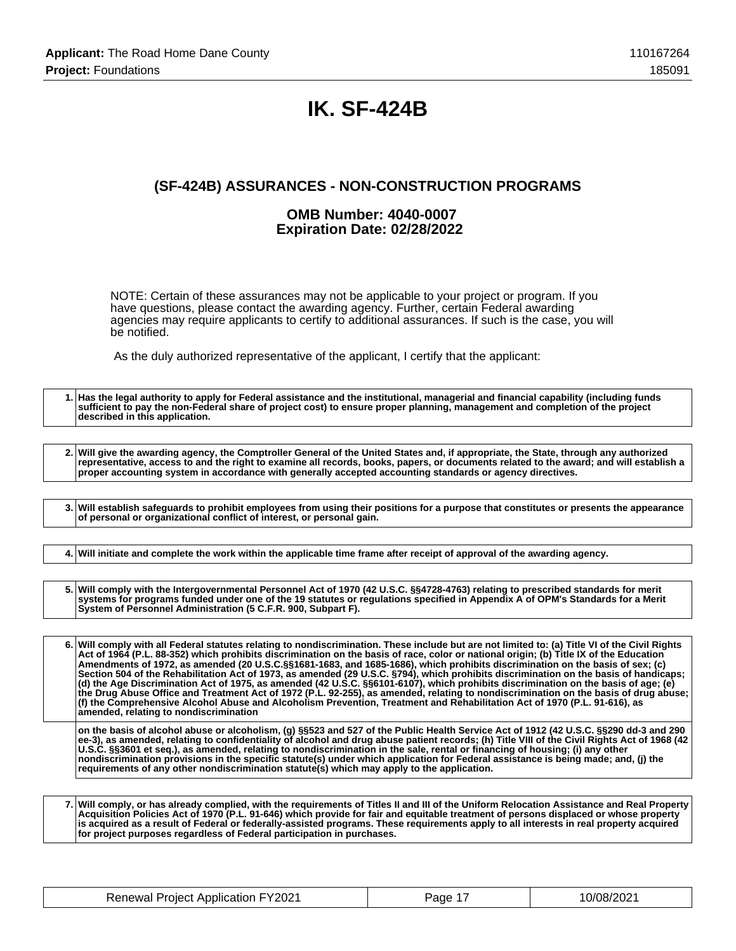## **IK. SF-424B**

### **(SF-424B) ASSURANCES - NON-CONSTRUCTION PROGRAMS**

#### **OMB Number: 4040-0007 Expiration Date: 02/28/2022**

NOTE: Certain of these assurances may not be applicable to your project or program. If you have questions, please contact the awarding agency. Further, certain Federal awarding agencies may require applicants to certify to additional assurances. If such is the case, you will be notified.

As the duly authorized representative of the applicant, I certify that the applicant:

**1. Has the legal authority to apply for Federal assistance and the institutional, managerial and financial capability (including funds sufficient to pay the non-Federal share of project cost) to ensure proper planning, management and completion of the project described in this application. 2. Will give the awarding agency, the Comptroller General of the United States and, if appropriate, the State, through any authorized representative, access to and the right to examine all records, books, papers, or documents related to the award; and will establish a proper accounting system in accordance with generally accepted accounting standards or agency directives. 3. Will establish safeguards to prohibit employees from using their positions for a purpose that constitutes or presents the appearance of personal or organizational conflict of interest, or personal gain. 4. Will initiate and complete the work within the applicable time frame after receipt of approval of the awarding agency. 5. Will comply with the Intergovernmental Personnel Act of 1970 (42 U.S.C. §§4728-4763) relating to prescribed standards for merit systems for programs funded under one of the 19 statutes or regulations specified in Appendix A of OPM's Standards for a Merit System of Personnel Administration (5 C.F.R. 900, Subpart F). 6. Will comply with all Federal statutes relating to nondiscrimination. These include but are not limited to: (a) Title VI of the Civil Rights Act of 1964 (P.L. 88-352) which prohibits discrimination on the basis of race, color or national origin; (b) Title IX of the Education Amendments of 1972, as amended (20 U.S.C.§§1681-1683, and 1685-1686), which prohibits discrimination on the basis of sex; (c) Section 504 of the Rehabilitation Act of 1973, as amended (29 U.S.C. §794), which prohibits discrimination on the basis of handicaps; (d) the Age Discrimination Act of 1975, as amended (42 U.S.C. §§6101-6107), which prohibits discrimination on the basis of age; (e) the Drug Abuse Office and Treatment Act of 1972 (P.L. 92-255), as amended, relating to nondiscrimination on the basis of drug abuse; (f) the Comprehensive Alcohol Abuse and Alcoholism Prevention, Treatment and Rehabilitation Act of 1970 (P.L. 91-616), as amended, relating to nondiscrimination on the basis of alcohol abuse or alcoholism, (g) §§523 and 527 of the Public Health Service Act of 1912 (42 U.S.C. §§290 dd-3 and 290 ee-3), as amended, relating to confidentiality of alcohol and drug abuse patient records; (h) Title VIII of the Civil Rights Act of 1968 (42 U.S.C. §§3601 et seq.), as amended, relating to nondiscrimination in the sale, rental or financing of housing; (i) any other nondiscrimination provisions in the specific statute(s) under which application for Federal assistance is being made; and, (j) the requirements of any other nondiscrimination statute(s) which may apply to the application.**

**7. Will comply, or has already complied, with the requirements of Titles II and III of the Uniform Relocation Assistance and Real Property Acquisition Policies Act of 1970 (P.L. 91-646) which provide for fair and equitable treatment of persons displaced or whose property is acquired as a result of Federal or federally-assisted programs. These requirements apply to all interests in real property acquired for project purposes regardless of Federal participation in purchases.**

| <b>Renewal Project Application FY2021</b> | Page 1 <sup>-</sup> | 10/08/2021 |
|-------------------------------------------|---------------------|------------|
|-------------------------------------------|---------------------|------------|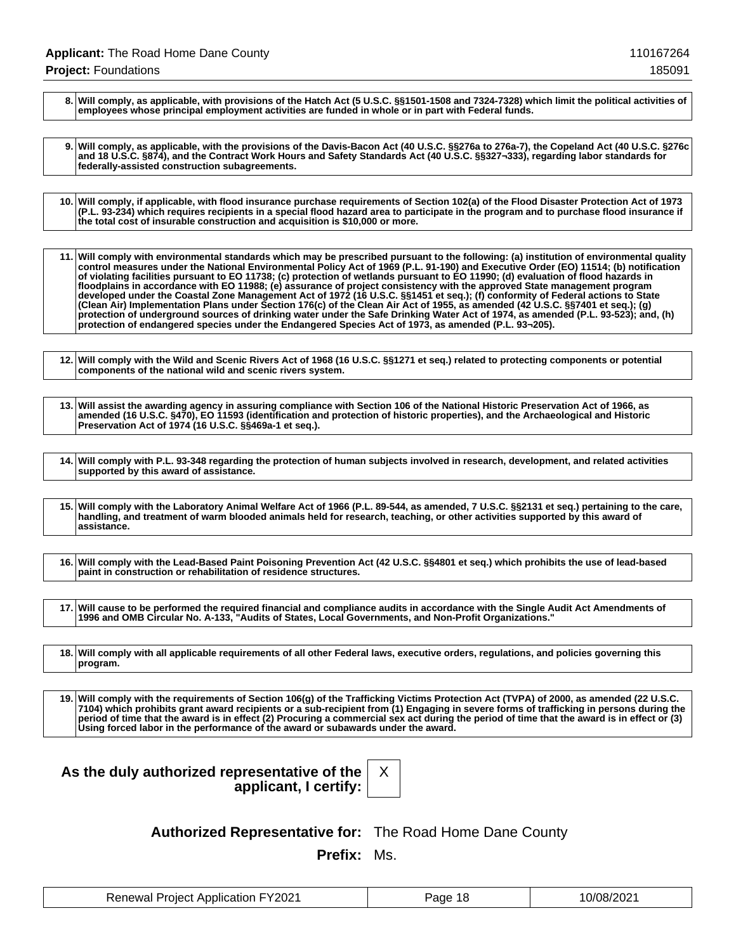**8. Will comply, as applicable, with provisions of the Hatch Act (5 U.S.C. §§1501-1508 and 7324-7328) which limit the political activities of employees whose principal employment activities are funded in whole or in part with Federal funds.**

**9. Will comply, as applicable, with the provisions of the Davis-Bacon Act (40 U.S.C. §§276a to 276a-7), the Copeland Act (40 U.S.C. §276c and 18 U.S.C. §874), and the Contract Work Hours and Safety Standards Act (40 U.S.C. §§327¬333), regarding labor standards for federally-assisted construction subagreements.**

**10. Will comply, if applicable, with flood insurance purchase requirements of Section 102(a) of the Flood Disaster Protection Act of 1973 (P.L. 93-234) which requires recipients in a special flood hazard area to participate in the program and to purchase flood insurance if the total cost of insurable construction and acquisition is \$10,000 or more.**

**11. Will comply with environmental standards which may be prescribed pursuant to the following: (a) institution of environmental quality control measures under the National Environmental Policy Act of 1969 (P.L. 91-190) and Executive Order (EO) 11514; (b) notification of violating facilities pursuant to EO 11738; (c) protection of wetlands pursuant to EO 11990; (d) evaluation of flood hazards in floodplains in accordance with EO 11988; (e) assurance of project consistency with the approved State management program developed under the Coastal Zone Management Act of 1972 (16 U.S.C. §§1451 et seq.); (f) conformity of Federal actions to State (Clean Air) Implementation Plans under Section 176(c) of the Clean Air Act of 1955, as amended (42 U.S.C. §§7401 et seq.); (g) protection of underground sources of drinking water under the Safe Drinking Water Act of 1974, as amended (P.L. 93-523); and, (h) protection of endangered species under the Endangered Species Act of 1973, as amended (P.L. 93¬205).**

**12. Will comply with the Wild and Scenic Rivers Act of 1968 (16 U.S.C. §§1271 et seq.) related to protecting components or potential components of the national wild and scenic rivers system.**

**13. Will assist the awarding agency in assuring compliance with Section 106 of the National Historic Preservation Act of 1966, as amended (16 U.S.C. §470), EO 11593 (identification and protection of historic properties), and the Archaeological and Historic Preservation Act of 1974 (16 U.S.C. §§469a-1 et seq.).**

**14. Will comply with P.L. 93-348 regarding the protection of human subjects involved in research, development, and related activities supported by this award of assistance.**

**15. Will comply with the Laboratory Animal Welfare Act of 1966 (P.L. 89-544, as amended, 7 U.S.C. §§2131 et seq.) pertaining to the care, handling, and treatment of warm blooded animals held for research, teaching, or other activities supported by this award of assistance.**

**16. Will comply with the Lead-Based Paint Poisoning Prevention Act (42 U.S.C. §§4801 et seq.) which prohibits the use of lead-based paint in construction or rehabilitation of residence structures.**

**17. Will cause to be performed the required financial and compliance audits in accordance with the Single Audit Act Amendments of 1996 and OMB Circular No. A-133, "Audits of States, Local Governments, and Non-Profit Organizations."**

**18. Will comply with all applicable requirements of all other Federal laws, executive orders, regulations, and policies governing this program.**

**19. Will comply with the requirements of Section 106(g) of the Trafficking Victims Protection Act (TVPA) of 2000, as amended (22 U.S.C. 7104) which prohibits grant award recipients or a sub-recipient from (1) Engaging in severe forms of trafficking in persons during the period of time that the award is in effect (2) Procuring a commercial sex act during the period of time that the award is in effect or (3) Using forced labor in the performance of the award or subawards under the award.**

### **As the duly authorized representative of the applicant, I certify:**



**Authorized Representative for:** The Road Home Dane County

**Prefix:** Ms.

| <b>Renewal Project Application FY2021</b> | Page 18 | 10/08/2021 |
|-------------------------------------------|---------|------------|
|-------------------------------------------|---------|------------|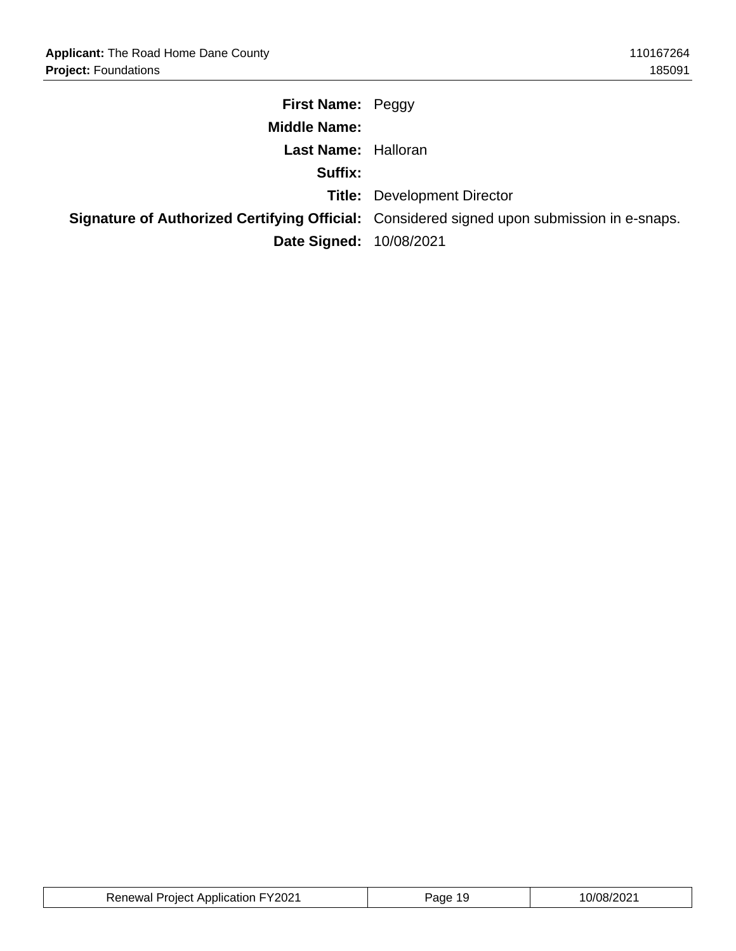| <b>First Name: Peggy</b>   |                                                                                                   |
|----------------------------|---------------------------------------------------------------------------------------------------|
| <b>Middle Name:</b>        |                                                                                                   |
| <b>Last Name: Halloran</b> |                                                                                                   |
| Suffix:                    |                                                                                                   |
|                            | <b>Title: Development Director</b>                                                                |
|                            | <b>Signature of Authorized Certifying Official:</b> Considered signed upon submission in e-snaps. |
| Date Signed: 10/08/2021    |                                                                                                   |

| <b>Renewal Project Application FY2021</b> | Page 19 | 10/08/2021 |
|-------------------------------------------|---------|------------|
|-------------------------------------------|---------|------------|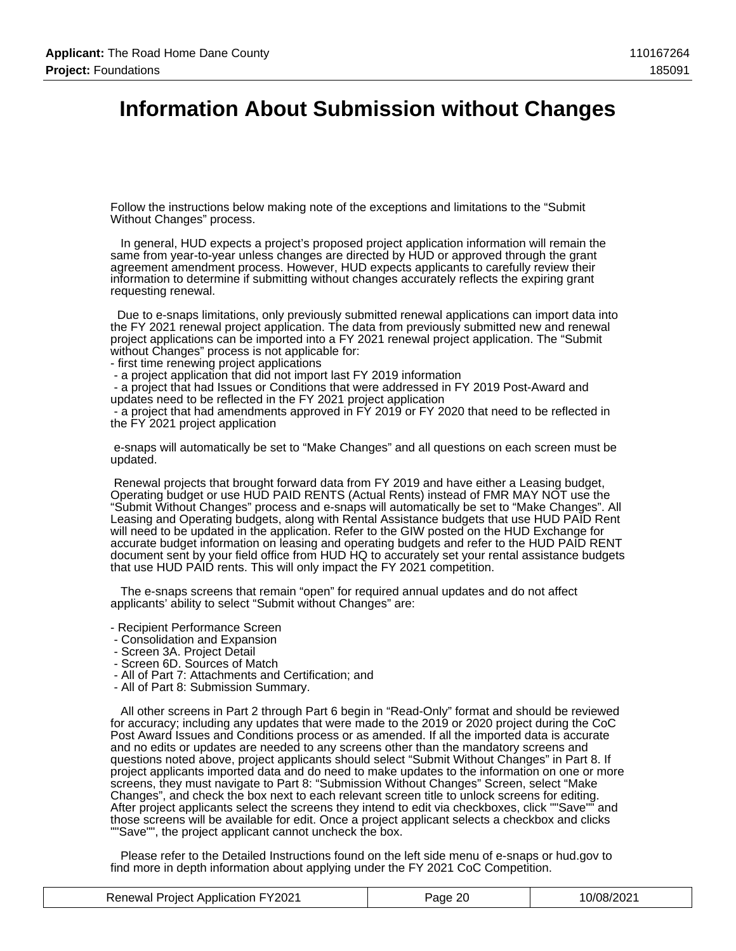### **Information About Submission without Changes**

Follow the instructions below making note of the exceptions and limitations to the "Submit Without Changes" process.

 In general, HUD expects a project's proposed project application information will remain the same from year-to-year unless changes are directed by HUD or approved through the grant agreement amendment process. However, HUD expects applicants to carefully review their information to determine if submitting without changes accurately reflects the expiring grant requesting renewal.

 Due to e-snaps limitations, only previously submitted renewal applications can import data into the FY 2021 renewal project application. The data from previously submitted new and renewal project applications can be imported into a FY 2021 renewal project application. The "Submit without Changes" process is not applicable for:

- first time renewing project applications
- a project application that did not import last FY 2019 information

 - a project that had Issues or Conditions that were addressed in FY 2019 Post-Award and updates need to be reflected in the FY 2021 project application

 - a project that had amendments approved in FY 2019 or FY 2020 that need to be reflected in the FY 2021 project application

 e-snaps will automatically be set to "Make Changes" and all questions on each screen must be updated.

 Renewal projects that brought forward data from FY 2019 and have either a Leasing budget, Operating budget or use HUD PAID RENTS (Actual Rents) instead of FMR MAY NOT use the "Submit Without Changes" process and e-snaps will automatically be set to "Make Changes". All Leasing and Operating budgets, along with Rental Assistance budgets that use HUD PAID Rent will need to be updated in the application. Refer to the GIW posted on the HUD Exchange for accurate budget information on leasing and operating budgets and refer to the HUD PAID RENT document sent by your field office from HUD HQ to accurately set your rental assistance budgets that use HUD PAID rents. This will only impact the FY 2021 competition.

 The e-snaps screens that remain "open" for required annual updates and do not affect applicants' ability to select "Submit without Changes" are:

- Recipient Performance Screen
- Consolidation and Expansion
- Screen 3A. Project Detail
- Screen 6D. Sources of Match
- All of Part 7: Attachments and Certification; and
- All of Part 8: Submission Summary.

 All other screens in Part 2 through Part 6 begin in "Read-Only" format and should be reviewed for accuracy; including any updates that were made to the 2019 or 2020 project during the CoC Post Award Issues and Conditions process or as amended. If all the imported data is accurate and no edits or updates are needed to any screens other than the mandatory screens and questions noted above, project applicants should select "Submit Without Changes" in Part 8. If project applicants imported data and do need to make updates to the information on one or more screens, they must navigate to Part 8: "Submission Without Changes" Screen, select "Make Changes", and check the box next to each relevant screen title to unlock screens for editing. After project applicants select the screens they intend to edit via checkboxes, click ""Save"" and those screens will be available for edit. Once a project applicant selects a checkbox and clicks ""Save"", the project applicant cannot uncheck the box.

 Please refer to the Detailed Instructions found on the left side menu of e-snaps or hud.gov to find more in depth information about applying under the FY 2021 CoC Competition.

| <b>Renewal Project Application FY2021</b> | Page 20 | 10/08/2021 |
|-------------------------------------------|---------|------------|
|-------------------------------------------|---------|------------|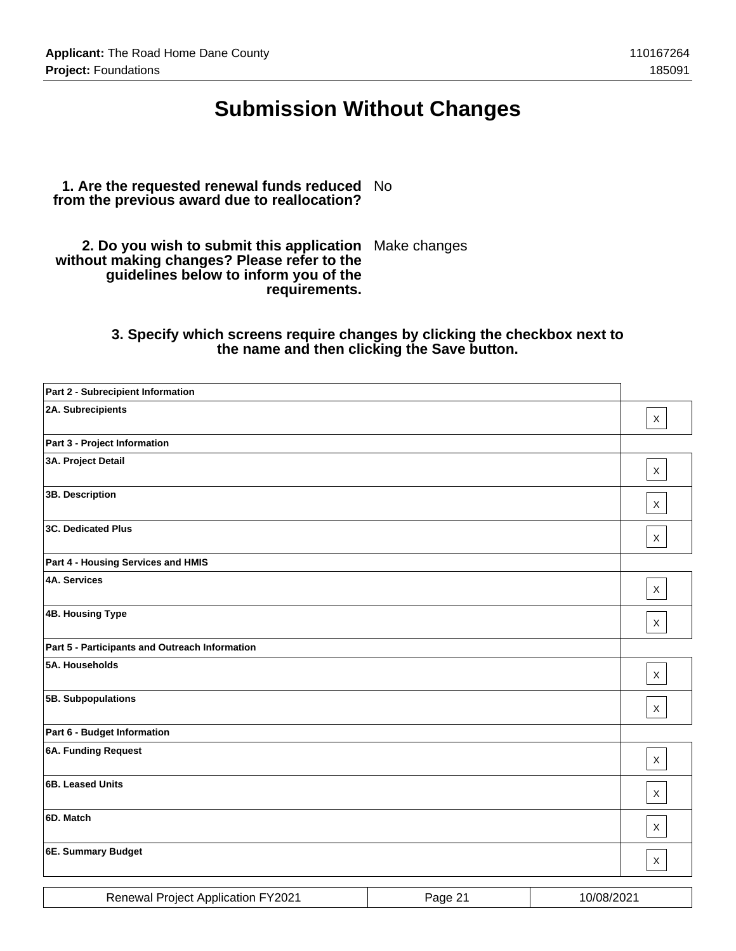## **Submission Without Changes**

#### **1. Are the requested renewal funds reduced** No **from the previous award due to reallocation?**

**2. Do you wish to submit this application** Make changes **without making changes? Please refer to the guidelines below to inform you of the requirements.**

#### **3. Specify which screens require changes by clicking the checkbox next to the name and then clicking the Save button.**

| Part 2 - Subrecipient Information              |         |            |                |
|------------------------------------------------|---------|------------|----------------|
| 2A. Subrecipients                              |         |            | $\mathsf{X}$   |
| Part 3 - Project Information                   |         |            |                |
| 3A. Project Detail                             |         |            | $\mathsf X$    |
| 3B. Description                                |         |            | $\mathsf X$    |
| <b>3C. Dedicated Plus</b>                      |         |            | $\mathsf{X}$   |
| Part 4 - Housing Services and HMIS             |         |            |                |
| <b>4A. Services</b>                            |         |            | $\mathsf X$    |
| 4B. Housing Type                               |         |            | $\mathsf X$    |
| Part 5 - Participants and Outreach Information |         |            |                |
| 5A. Households                                 |         |            | $\mathsf X$    |
| 5B. Subpopulations                             |         |            | $\mathsf{X}^-$ |
| Part 6 - Budget Information                    |         |            |                |
| <b>6A. Funding Request</b>                     |         |            | $\mathsf{X}$   |
| 6B. Leased Units                               |         |            | $\mathsf{X}$   |
| 6D. Match                                      |         |            | $\mathsf{X}$   |
| 6E. Summary Budget                             |         |            | $\mathsf{X}$   |
| <b>Renewal Project Application FY2021</b>      | Page 21 | 10/08/2021 |                |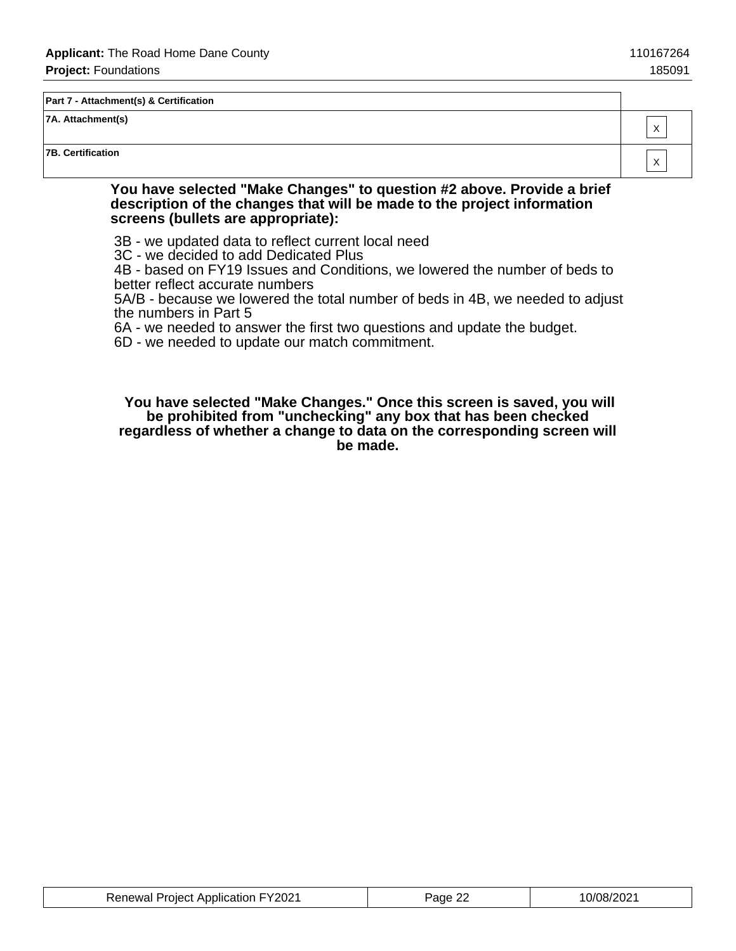### **Part 7 - Attachment(s) & Certification 7A. Attachment(s)** X **7B. Certification** X

**You have selected "Make Changes" to question #2 above. Provide a brief description of the changes that will be made to the project information screens (bullets are appropriate):**

3B - we updated data to reflect current local need

3C - we decided to add Dedicated Plus

4B - based on FY19 Issues and Conditions, we lowered the number of beds to better reflect accurate numbers

5A/B - because we lowered the total number of beds in 4B, we needed to adjust the numbers in Part 5

6A - we needed to answer the first two questions and update the budget.

6D - we needed to update our match commitment.

 **You have selected "Make Changes." Once this screen is saved, you will be prohibited from "unchecking" any box that has been checked regardless of whether a change to data on the corresponding screen will be made.**

| <b>Renewal Project Application FY2021</b> | Page 22 | 10/08/2021 |
|-------------------------------------------|---------|------------|
|-------------------------------------------|---------|------------|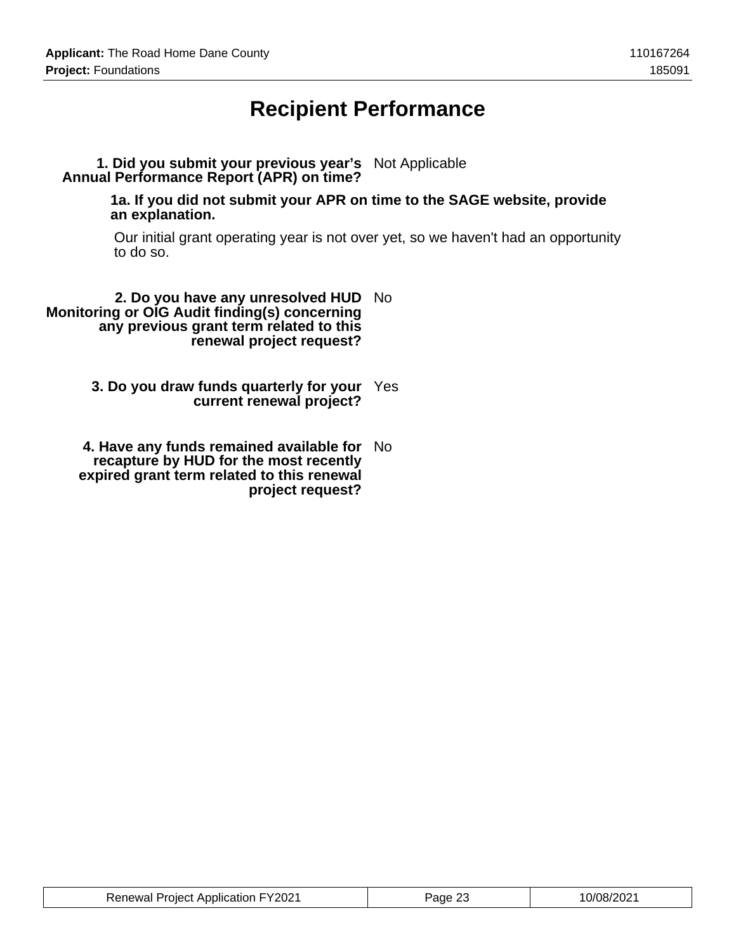## **Recipient Performance**

### **1. Did you submit your previous year's** Not Applicable **Annual Performance Report (APR) on time?**

**1a. If you did not submit your APR on time to the SAGE website, provide an explanation.**

Our initial grant operating year is not over yet, so we haven't had an opportunity to do so.

**2. Do you have any unresolved HUD** No **Monitoring or OIG Audit finding(s) concerning any previous grant term related to this renewal project request?**

> **3. Do you draw funds quarterly for your** Yes **current renewal project?**

**4. Have any funds remained available for** No **recapture by HUD for the most recently expired grant term related to this renewal project request?**

| <b>Renewal Project Application FY2021</b> | Page 23 | 10/08/2021 |
|-------------------------------------------|---------|------------|
|-------------------------------------------|---------|------------|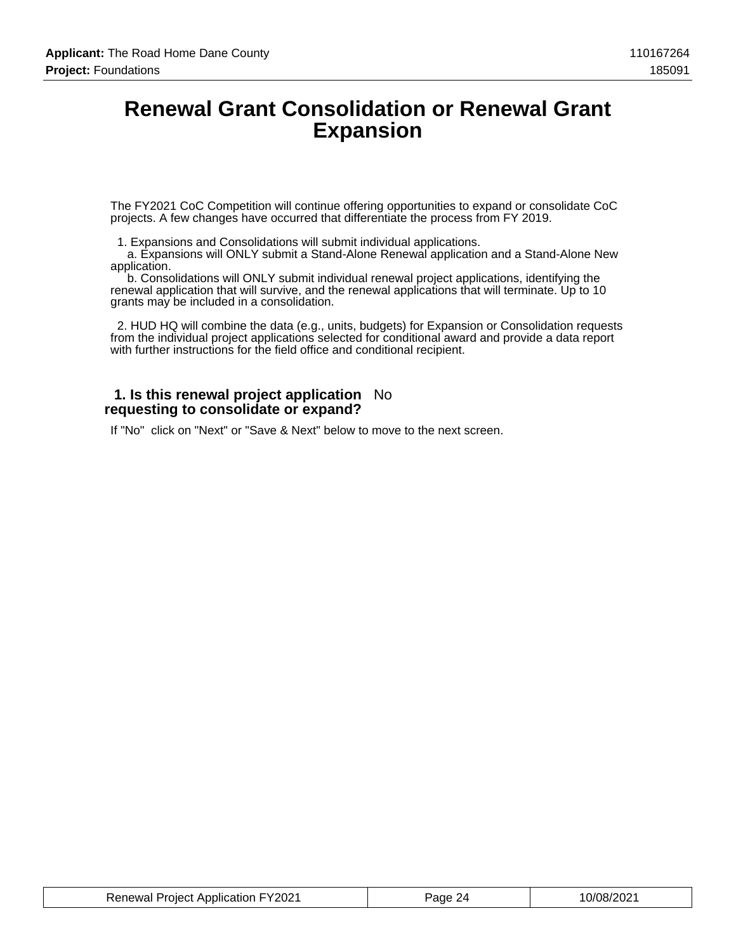### **Renewal Grant Consolidation or Renewal Grant Expansion**

The FY2021 CoC Competition will continue offering opportunities to expand or consolidate CoC projects. A few changes have occurred that differentiate the process from FY 2019.

1. Expansions and Consolidations will submit individual applications.

 a. Expansions will ONLY submit a Stand-Alone Renewal application and a Stand-Alone New application.

 b. Consolidations will ONLY submit individual renewal project applications, identifying the renewal application that will survive, and the renewal applications that will terminate. Up to 10 grants may be included in a consolidation.

 2. HUD HQ will combine the data (e.g., units, budgets) for Expansion or Consolidation requests from the individual project applications selected for conditional award and provide a data report with further instructions for the field office and conditional recipient.

#### **1. Is this renewal project application** No **requesting to consolidate or expand?**

If "No" click on "Next" or "Save & Next" below to move to the next screen.

| 10/08/2021<br><b>Renewal Project Application FY2021</b><br>Page 24 |
|--------------------------------------------------------------------|
|--------------------------------------------------------------------|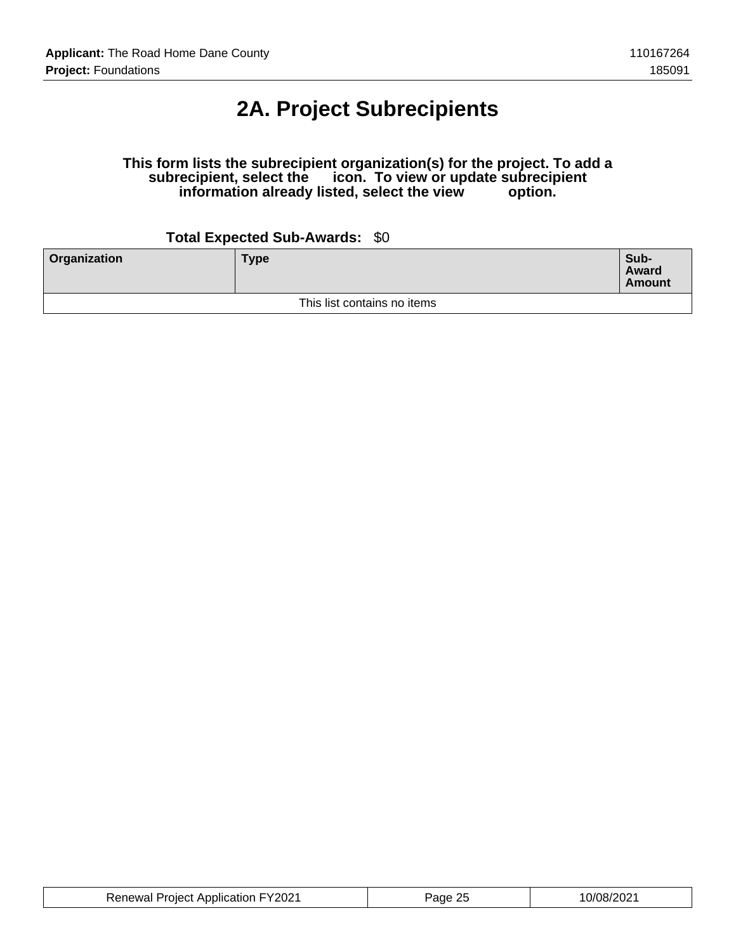## **2A. Project Subrecipients**

#### **This form lists the subrecipient organization(s) for the project. To add a subrecipient, select the icon. To view or update subrecipient information already listed, select the view option.**

### **Total Expected Sub-Awards:** \$0

| <b>Organization</b> | <b>Type</b>                 | Sub-<br>Award<br><b>Amount</b> |
|---------------------|-----------------------------|--------------------------------|
|                     | This list contains no items |                                |

| <b>Renewal Project Application FY2021</b> | Page 25 | 10/08/2021 |
|-------------------------------------------|---------|------------|
|-------------------------------------------|---------|------------|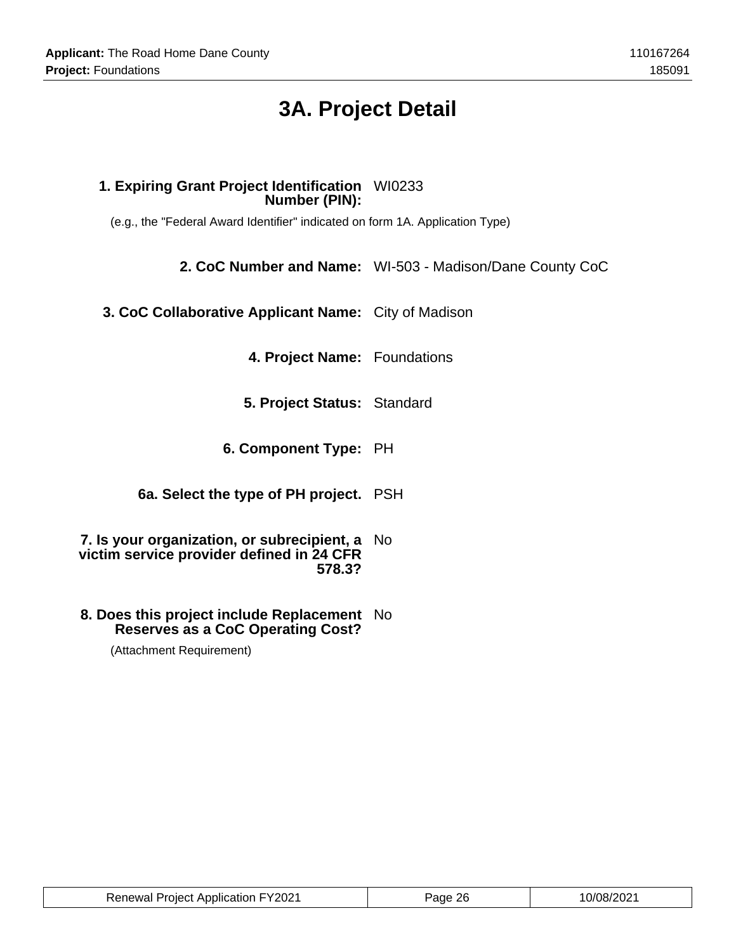## **3A. Project Detail**

### **1. Expiring Grant Project Identification** WI0233 **Number (PIN):**

(e.g., the "Federal Award Identifier" indicated on form 1A. Application Type)

**2. CoC Number and Name:** WI-503 - Madison/Dane County CoC

**3. CoC Collaborative Applicant Name:** City of Madison

**4. Project Name:** Foundations

- **5. Project Status:** Standard
- **6. Component Type:** PH
- **6a. Select the type of PH project.** PSH
- **7. Is your organization, or subrecipient, a** No **victim service provider defined in 24 CFR 578.3?**
- **8. Does this project include Replacement** No **Reserves as a CoC Operating Cost?**

(Attachment Requirement)

| <b>Renewal Project Application FY2021</b> | Page 26 | 10/08/2021 |
|-------------------------------------------|---------|------------|
|-------------------------------------------|---------|------------|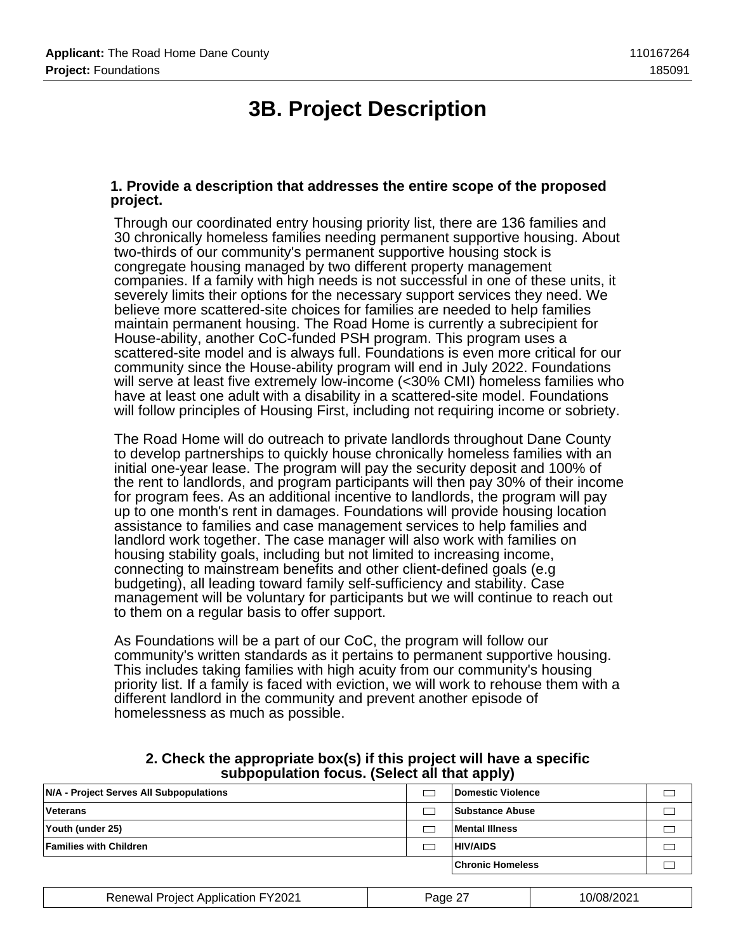# **3B. Project Description**

### **1. Provide a description that addresses the entire scope of the proposed project.**

Through our coordinated entry housing priority list, there are 136 families and 30 chronically homeless families needing permanent supportive housing. About two-thirds of our community's permanent supportive housing stock is congregate housing managed by two different property management companies. If a family with high needs is not successful in one of these units, it severely limits their options for the necessary support services they need. We believe more scattered-site choices for families are needed to help families maintain permanent housing. The Road Home is currently a subrecipient for House-ability, another CoC-funded PSH program. This program uses a scattered-site model and is always full. Foundations is even more critical for our community since the House-ability program will end in July 2022. Foundations will serve at least five extremely low-income (<30% CMI) homeless families who have at least one adult with a disability in a scattered-site model. Foundations will follow principles of Housing First, including not requiring income or sobriety.

The Road Home will do outreach to private landlords throughout Dane County to develop partnerships to quickly house chronically homeless families with an initial one-year lease. The program will pay the security deposit and 100% of the rent to landlords, and program participants will then pay 30% of their income for program fees. As an additional incentive to landlords, the program will pay up to one month's rent in damages. Foundations will provide housing location assistance to families and case management services to help families and landlord work together. The case manager will also work with families on housing stability goals, including but not limited to increasing income, connecting to mainstream benefits and other client-defined goals (e.g budgeting), all leading toward family self-sufficiency and stability. Case management will be voluntary for participants but we will continue to reach out to them on a regular basis to offer support.

As Foundations will be a part of our CoC, the program will follow our community's written standards as it pertains to permanent supportive housing. This includes taking families with high acuity from our community's housing priority list. If a family is faced with eviction, we will work to rehouse them with a different landlord in the community and prevent another episode of homelessness as much as possible.

#### **2. Check the appropriate box(s) if this project will have a specific subpopulation focus. (Select all that apply)**

| N/A - Project Serves All Subpopulations | <b>Domestic Violence</b> |  |
|-----------------------------------------|--------------------------|--|
| <b>Veterans</b>                         | Substance Abuse          |  |
| Youth (under 25)                        | Mental Illness           |  |
| Families with Children                  | <b>HIV/AIDS</b>          |  |
|                                         | <b>Chronic Homeless</b>  |  |

| <b>Renewal Project Application FY2021</b> | Page | 10/08/2021 |
|-------------------------------------------|------|------------|
|-------------------------------------------|------|------------|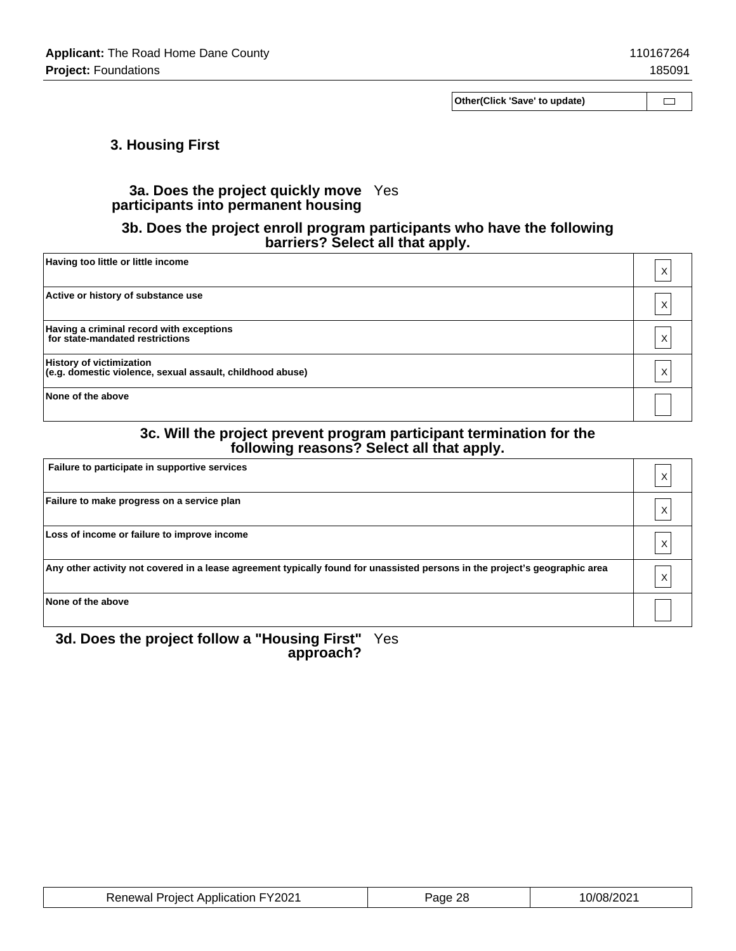**Other(Click 'Save' to update)**

 $\qquad \qquad \Box$ 

### **3. Housing First**

### **3a. Does the project quickly move** Yes **participants into permanent housing**

#### **3b. Does the project enroll program participants who have the following barriers? Select all that apply.**

| Having too little or little income                                                           | X |
|----------------------------------------------------------------------------------------------|---|
| Active or history of substance use                                                           | X |
| Having a criminal record with exceptions<br>for state-mandated restrictions                  | X |
| <b>History of victimization</b><br>(e.g. domestic violence, sexual assault, childhood abuse) | X |
| None of the above                                                                            |   |

#### **3c. Will the project prevent program participant termination for the following reasons? Select all that apply.**

| Failure to participate in supportive services                                                                               | Χ |
|-----------------------------------------------------------------------------------------------------------------------------|---|
| Failure to make progress on a service plan                                                                                  | X |
| Loss of income or failure to improve income                                                                                 | X |
| Any other activity not covered in a lease agreement typically found for unassisted persons in the project's geographic area | Χ |
| None of the above                                                                                                           |   |

**3d. Does the project follow a "Housing First" approach?** Yes

| <b>Renewal Project Application FY2021</b> | റ<br>$^{\circ}$ age. | 10/08/2021 |
|-------------------------------------------|----------------------|------------|
|-------------------------------------------|----------------------|------------|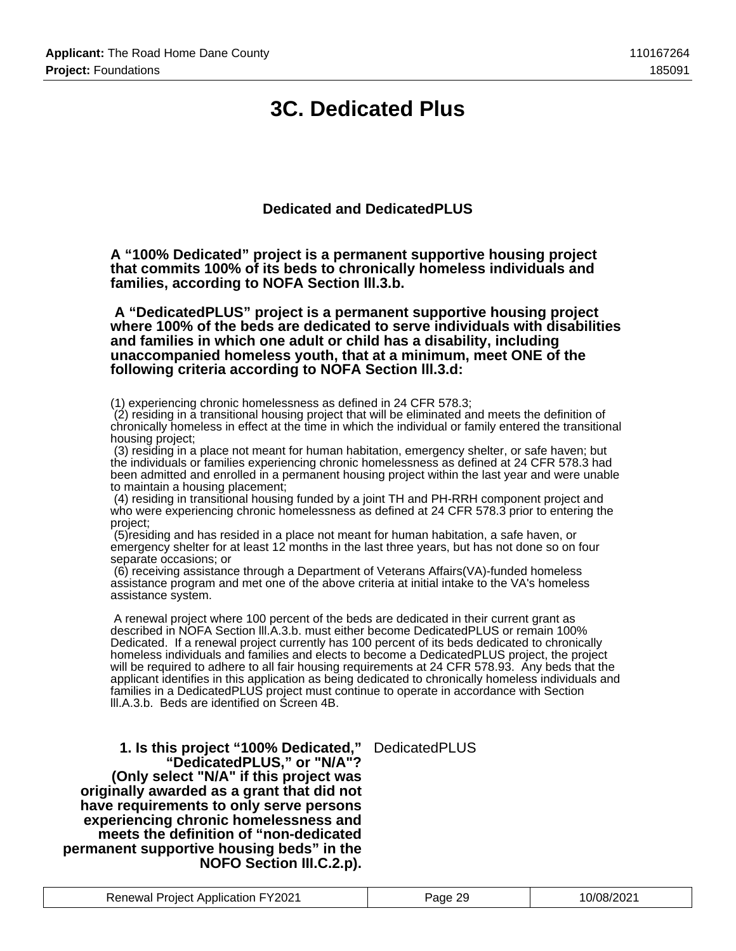## **3C. Dedicated Plus**

**Dedicated and DedicatedPLUS**

**A "100% Dedicated" project is a permanent supportive housing project that commits 100% of its beds to chronically homeless individuals and families, according to NOFA Section lll.3.b.**

 **A "DedicatedPLUS" project is a permanent supportive housing project where 100% of the beds are dedicated to serve individuals with disabilities and families in which one adult or child has a disability, including unaccompanied homeless youth, that at a minimum, meet ONE of the following criteria according to NOFA Section lll.3.d:**

(1) experiencing chronic homelessness as defined in 24 CFR 578.3;

 (2) residing in a transitional housing project that will be eliminated and meets the definition of chronically homeless in effect at the time in which the individual or family entered the transitional housing project;

 (3) residing in a place not meant for human habitation, emergency shelter, or safe haven; but the individuals or families experiencing chronic homelessness as defined at 24 CFR 578.3 had been admitted and enrolled in a permanent housing project within the last year and were unable to maintain a housing placement;

 (4) residing in transitional housing funded by a joint TH and PH-RRH component project and who were experiencing chronic homelessness as defined at 24 CFR 578.3 prior to entering the project;

 (5)residing and has resided in a place not meant for human habitation, a safe haven, or emergency shelter for at least 12 months in the last three years, but has not done so on four separate occasions; or

 (6) receiving assistance through a Department of Veterans Affairs(VA)-funded homeless assistance program and met one of the above criteria at initial intake to the VA's homeless assistance system.

 A renewal project where 100 percent of the beds are dedicated in their current grant as described in NOFA Section lll.A.3.b. must either become DedicatedPLUS or remain 100% Dedicated. If a renewal project currently has 100 percent of its beds dedicated to chronically homeless individuals and families and elects to become a DedicatedPLUS project, the project will be required to adhere to all fair housing requirements at 24 CFR 578.93. Any beds that the applicant identifies in this application as being dedicated to chronically homeless individuals and families in a DedicatedPLUS project must continue to operate in accordance with Section lll.A.3.b. Beds are identified on Screen 4B.

**1. Is this project "100% Dedicated," "DedicatedPLUS," or "N/A"? (Only select "N/A" if this project was originally awarded as a grant that did not have requirements to only serve persons experiencing chronic homelessness and meets the definition of "non-dedicated permanent supportive housing beds" in the NOFO Section III.C.2.p).** DedicatedPLUS

| <b>Renewal Project Application FY2021</b> | Page 29 | 10/08/2021 |
|-------------------------------------------|---------|------------|
|-------------------------------------------|---------|------------|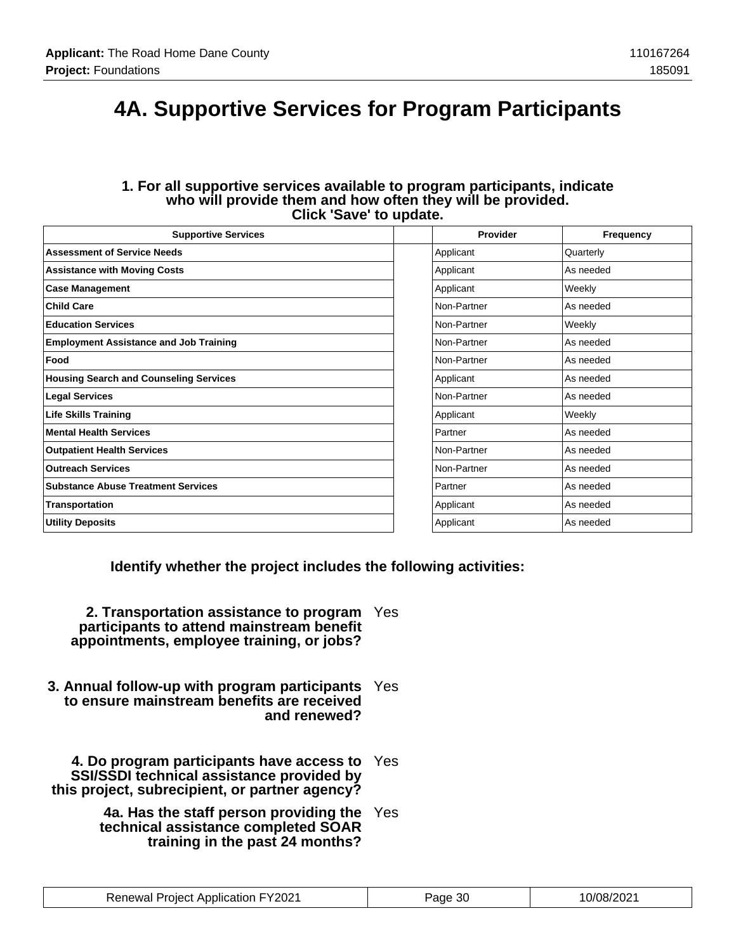# **4A. Supportive Services for Program Participants**

#### **1. For all supportive services available to program participants, indicate who will provide them and how often they will be provided. Click 'Save' to update.**

| <b>Supportive Services</b>                    | <b>Provider</b> | Frequency |
|-----------------------------------------------|-----------------|-----------|
| <b>Assessment of Service Needs</b>            | Applicant       | Quarterly |
| <b>Assistance with Moving Costs</b>           | Applicant       | As needed |
| <b>Case Management</b>                        | Applicant       | Weekly    |
| <b>Child Care</b>                             | Non-Partner     | As needed |
| <b>Education Services</b>                     | Non-Partner     | Weekly    |
| <b>Employment Assistance and Job Training</b> | Non-Partner     | As needed |
| Food                                          | Non-Partner     | As needed |
| <b>Housing Search and Counseling Services</b> | Applicant       | As needed |
| <b>Legal Services</b>                         | Non-Partner     | As needed |
| <b>Life Skills Training</b>                   | Applicant       | Weekly    |
| <b>Mental Health Services</b>                 | Partner         | As needed |
| <b>Outpatient Health Services</b>             | Non-Partner     | As needed |
| <b>Outreach Services</b>                      | Non-Partner     | As needed |
| <b>Substance Abuse Treatment Services</b>     | Partner         | As needed |
| <b>Transportation</b>                         | Applicant       | As needed |
| <b>Utility Deposits</b>                       | Applicant       | As needed |

**Identify whether the project includes the following activities:**

| 2. Transportation assistance to program<br>participants to attend mainstream benefit<br>appointments, employee training, or jobs?            | Yes |
|----------------------------------------------------------------------------------------------------------------------------------------------|-----|
| 3. Annual follow-up with program participants<br>to ensure mainstream benefits are received<br>and renewed?                                  | Yes |
| 4. Do program participants have access to Yes<br>SSI/SSDI technical assistance provided by<br>this project, subrecipient, or partner agency? |     |
| 4a. Has the staff person providing the<br>technical assistance completed SOAR<br>training in the past 24 months?                             | Yes |

| <b>Renewal Project Application FY2021</b> | Page 30 | 10/08/2021 |
|-------------------------------------------|---------|------------|
|-------------------------------------------|---------|------------|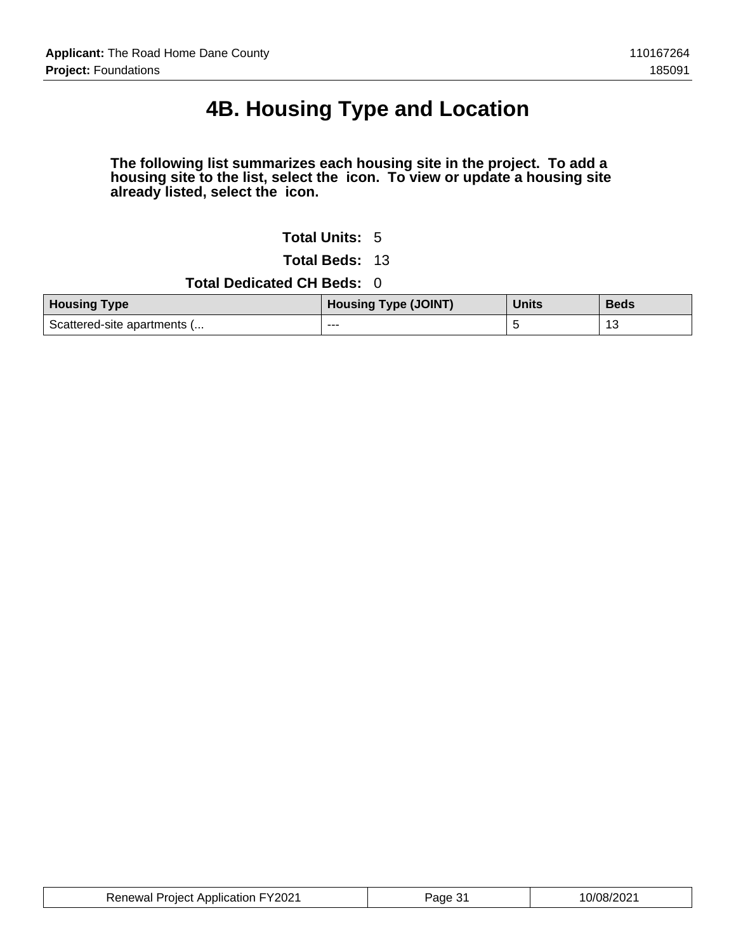## **4B. Housing Type and Location**

**The following list summarizes each housing site in the project. To add a housing site to the list, select the icon. To view or update a housing site already listed, select the icon.**

### **Total Units:** 5

**Total Beds:** 13

#### **Total Dedicated CH Beds:** 0

| <b>Housing Type</b>         | <b>Housing Type (JOINT)</b> | <b>Units</b> | <b>Beds</b>        |
|-----------------------------|-----------------------------|--------------|--------------------|
| Scattered-site apartments ( | ---                         |              | $\Lambda$ $\Omega$ |

| <b>Renewal Project Application FY2021</b> | аае | 10/08/2021 |
|-------------------------------------------|-----|------------|
|-------------------------------------------|-----|------------|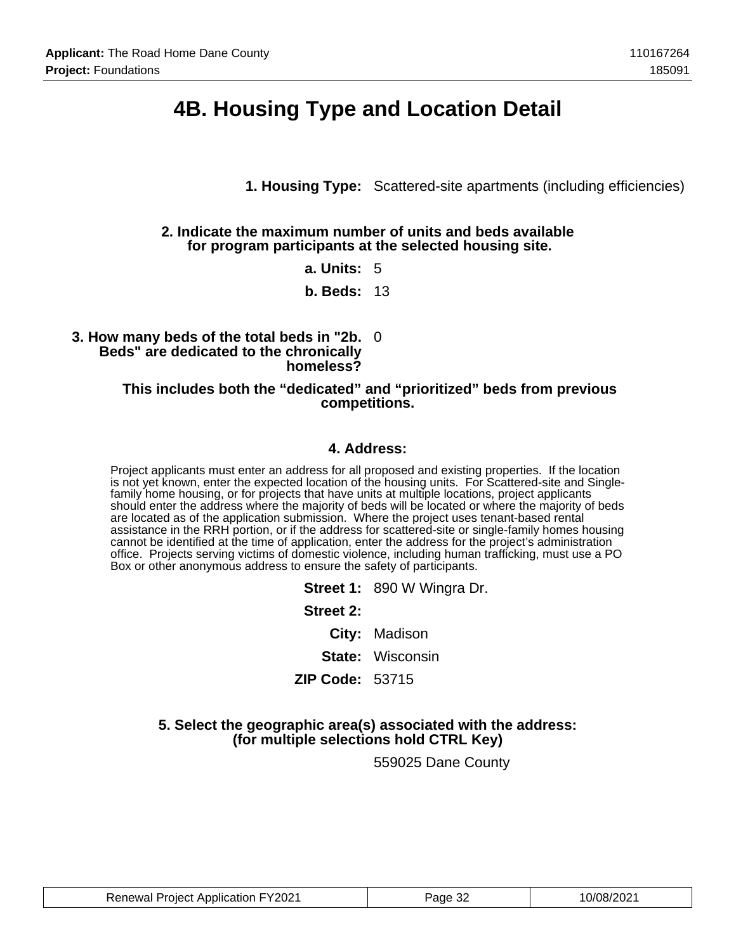## **4B. Housing Type and Location Detail**

**1. Housing Type:** Scattered-site apartments (including efficiencies)

#### **2. Indicate the maximum number of units and beds available for program participants at the selected housing site.**

**a. Units:** 5

**b. Beds:** 13

#### **3. How many beds of the total beds in "2b.** 0 **Beds" are dedicated to the chronically homeless?**

#### **This includes both the "dedicated" and "prioritized" beds from previous competitions.**

### **4. Address:**

Project applicants must enter an address for all proposed and existing properties. If the location is not yet known, enter the expected location of the housing units. For Scattered-site and Singlefamily home housing, or for projects that have units at multiple locations, project applicants should enter the address where the majority of beds will be located or where the majority of beds are located as of the application submission. Where the project uses tenant-based rental assistance in the RRH portion, or if the address for scattered-site or single-family homes housing cannot be identified at the time of application, enter the address for the project's administration office. Projects serving victims of domestic violence, including human trafficking, must use a PO Box or other anonymous address to ensure the safety of participants.

|                        | <b>Street 1: 890 W Wingra Dr.</b> |
|------------------------|-----------------------------------|
| <b>Street 2:</b>       |                                   |
|                        | <b>City: Madison</b>              |
|                        | <b>State: Wisconsin</b>           |
| <b>ZIP Code: 53715</b> |                                   |
|                        |                                   |

#### **5. Select the geographic area(s) associated with the address: (for multiple selections hold CTRL Key)**

559025 Dane County

| <b>Renewal Project Application FY2021</b> | Page 32 | 10/08/2021 |
|-------------------------------------------|---------|------------|
|-------------------------------------------|---------|------------|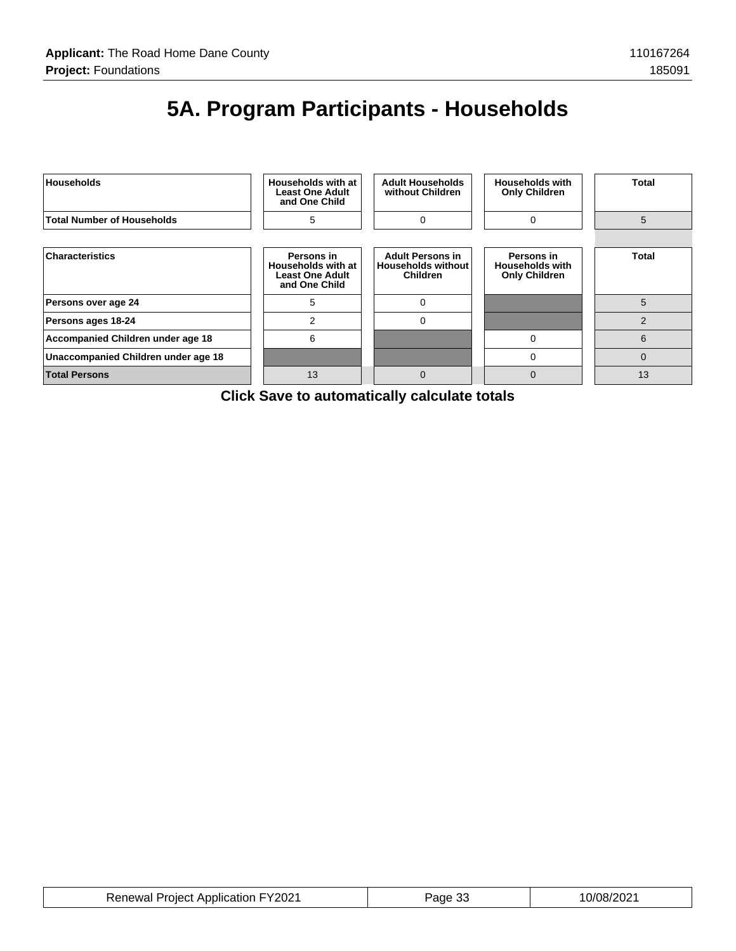## **5A. Program Participants - Households**



**Click Save to automatically calculate totals**

| <b>Renewal Project Application FY2021</b> | Page 33 | 10/08/2021 |
|-------------------------------------------|---------|------------|
|-------------------------------------------|---------|------------|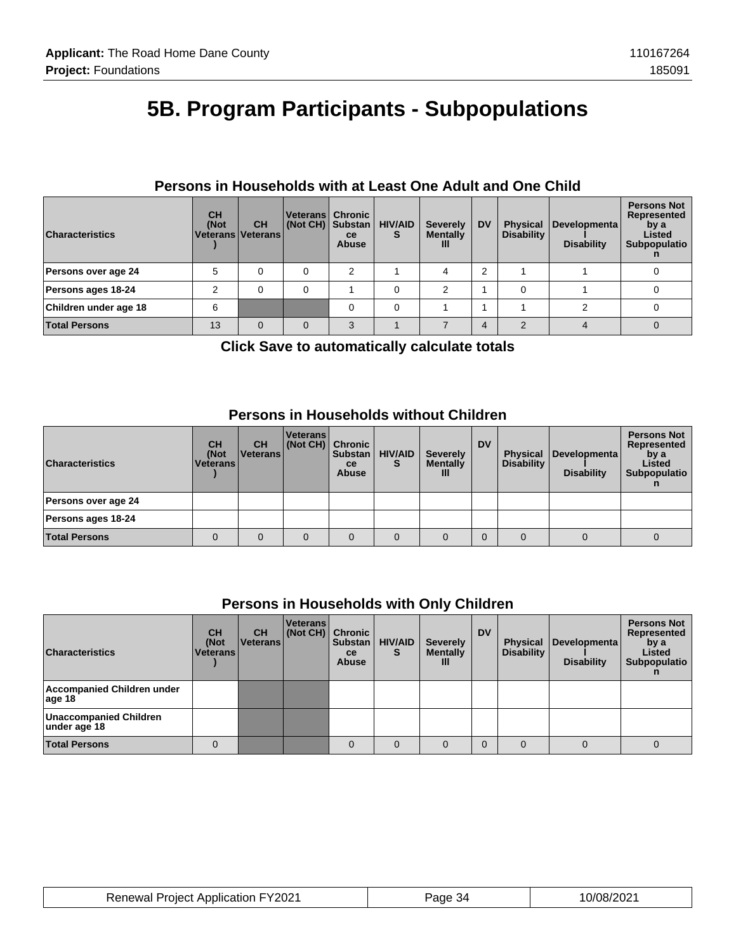## **5B. Program Participants - Subpopulations**

| <b>Characteristics</b> | <b>CH</b><br>(Not<br>Veterans   Veterans | CH       | Veterans Chronic<br>$\vert$ (Not CH) $\vert$ Substan $\vert$ | ce<br><b>Abuse</b> | <b>HIV/AID</b><br>S | <b>Severely</b><br><b>Mentally</b><br>Ш | <b>DV</b> | <b>Disability</b> | Physical Developmenta<br><b>Disability</b> | <b>Persons Not</b><br>Represented<br>by a<br>Listed<br><b>Subpopulatio</b> |
|------------------------|------------------------------------------|----------|--------------------------------------------------------------|--------------------|---------------------|-----------------------------------------|-----------|-------------------|--------------------------------------------|----------------------------------------------------------------------------|
| Persons over age 24    | 5                                        | $\Omega$ | 0                                                            | າ                  |                     |                                         | ົ         |                   |                                            |                                                                            |
| Persons ages 18-24     |                                          | $\Omega$ | 0                                                            |                    | 0                   | ົ                                       |           | n                 |                                            |                                                                            |
| Children under age 18  | 6                                        |          |                                                              | $\Omega$           | 0                   |                                         |           |                   |                                            |                                                                            |
| <b>Total Persons</b>   | 13                                       | $\Omega$ | 0                                                            | 3                  |                     |                                         | 4         |                   |                                            |                                                                            |

### **Persons in Households with at Least One Adult and One Child**

**Click Save to automatically calculate totals**

### **Persons in Households without Children**

| <b>Characteristics</b> | <b>CH</b><br>(Not<br><b>Veterans</b> | <b>CH</b><br>Veterans | <b>Veterans</b><br>(Not CH) Chronic | <b>Substan</b><br><b>ce</b><br><b>Abuse</b> | <b>HIV/AID</b> | <b>Severely</b><br><b>Mentally</b><br>Ш | <b>DV</b> | <b>Disability</b> | Physical Developmenta<br><b>Disability</b> | <b>Persons Not</b><br><b>Represented</b><br>by a<br>Listed<br>Subpopulatio |
|------------------------|--------------------------------------|-----------------------|-------------------------------------|---------------------------------------------|----------------|-----------------------------------------|-----------|-------------------|--------------------------------------------|----------------------------------------------------------------------------|
| Persons over age 24    |                                      |                       |                                     |                                             |                |                                         |           |                   |                                            |                                                                            |
| Persons ages 18-24     |                                      |                       |                                     |                                             |                |                                         |           |                   |                                            |                                                                            |
| <b>Total Persons</b>   |                                      |                       |                                     | $\Omega$                                    | $\Omega$       |                                         |           |                   |                                            |                                                                            |

### **Persons in Households with Only Children**

| <b>Characteristics</b>                        | <b>CH</b><br>(Not<br><b>Veterans</b> | <b>CH</b><br>  Veterans | <b>Veterans</b><br>(Not CH) | <b>Chronic</b><br><b>Substan</b><br>ce<br><b>Abuse</b> | <b>HIV/AID</b><br>S | <b>Severely</b><br><b>Mentally</b><br>Ш | <b>DV</b> | <b>Physical</b><br><b>Disability</b> | Developmenta<br><b>Disability</b> | <b>Persons Not</b><br>Represented<br>by a<br>Listed<br>Subpopulatio |
|-----------------------------------------------|--------------------------------------|-------------------------|-----------------------------|--------------------------------------------------------|---------------------|-----------------------------------------|-----------|--------------------------------------|-----------------------------------|---------------------------------------------------------------------|
| <b>Accompanied Children under</b><br>age 18   |                                      |                         |                             |                                                        |                     |                                         |           |                                      |                                   |                                                                     |
| <b>Unaccompanied Children</b><br>under age 18 |                                      |                         |                             |                                                        |                     |                                         |           |                                      |                                   |                                                                     |
| <b>Total Persons</b>                          |                                      |                         |                             | $\Omega$                                               |                     |                                         |           |                                      |                                   |                                                                     |

| <b>Renewal Project Application FY2021</b> | Page 34 | 10/08/2021 |
|-------------------------------------------|---------|------------|
|-------------------------------------------|---------|------------|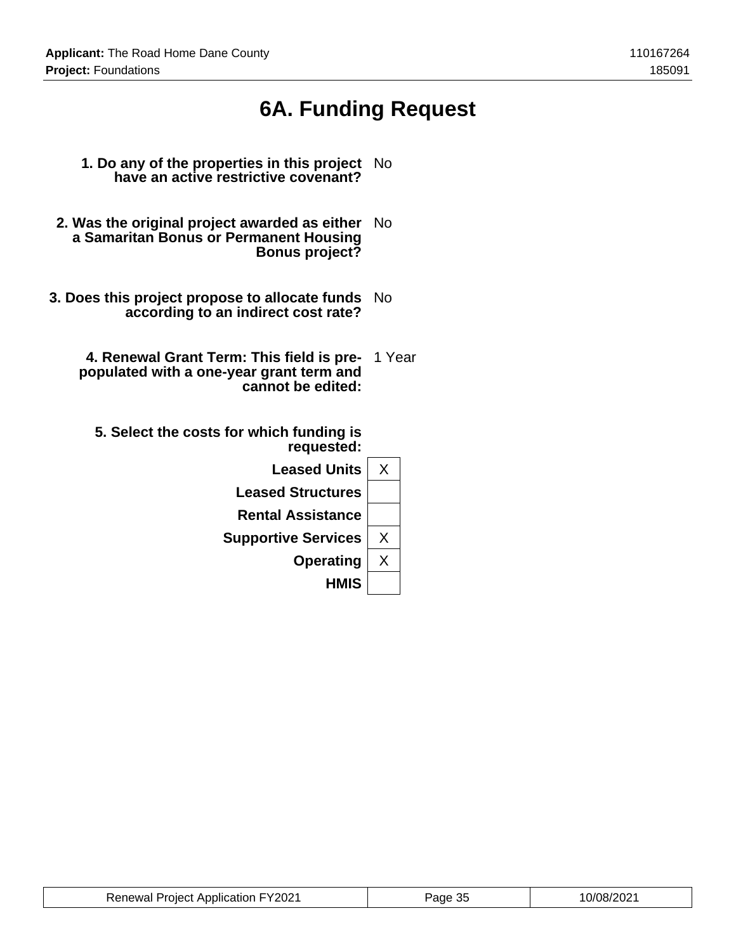## **6A. Funding Request**

- **1. Do any of the properties in this project have an active restrictive covenant?** No
- **2. Was the original project awarded as either** No **a Samaritan Bonus or Permanent Housing Bonus project?**
- **3. Does this project propose to allocate funds** No **according to an indirect cost rate?**
	- **4. Renewal Grant Term: This field is pre-**1 Year **populated with a one-year grant term and cannot be edited:**
		- **5. Select the costs for which funding is requested:**

| х |
|---|
|   |
|   |
|   |

| <b>Renewal Project Application FY2021</b> | Page 35 | 10/08/2021 |
|-------------------------------------------|---------|------------|
|-------------------------------------------|---------|------------|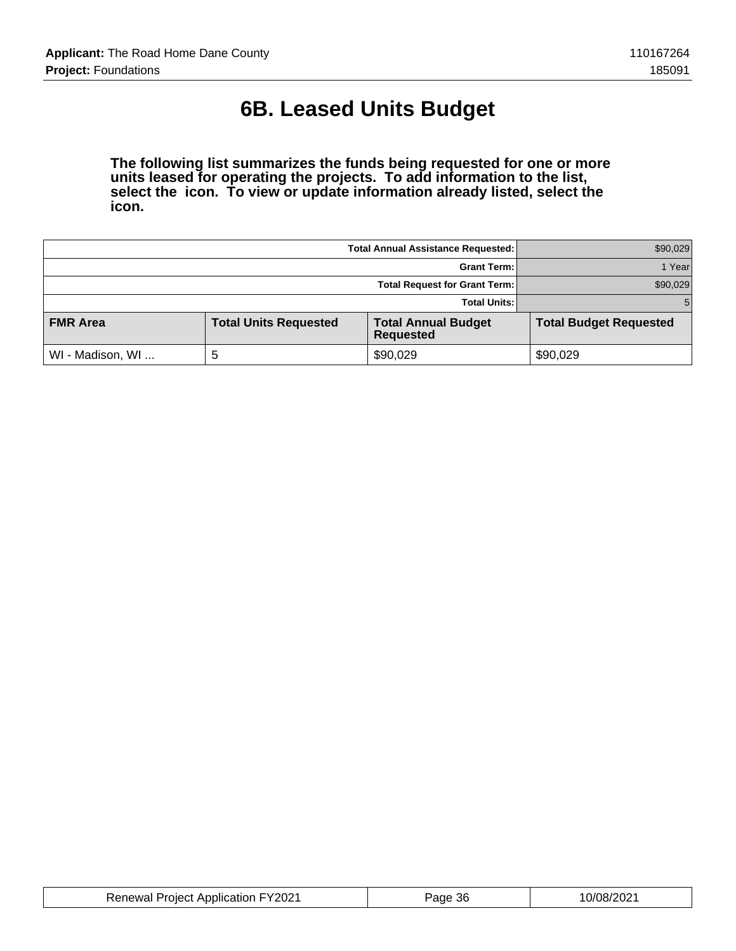# **6B. Leased Units Budget**

**The following list summarizes the funds being requested for one or more units leased for operating the projects. To add information to the list, select the icon. To view or update information already listed, select the icon.**

|                    |                              | Total Annual Assistance Requested:             | \$90,029                      |
|--------------------|------------------------------|------------------------------------------------|-------------------------------|
| <b>Grant Term:</b> |                              | 1 Year                                         |                               |
|                    |                              | Total Request for Grant Term:                  | \$90,029                      |
|                    |                              | <b>Total Units:</b>                            |                               |
| <b>FMR Area</b>    | <b>Total Units Requested</b> | <b>Total Annual Budget</b><br><b>Requested</b> | <b>Total Budget Requested</b> |
| WI - Madison, WI   | C                            | \$90,029                                       | \$90,029                      |

| <b>Renewal Project Application FY2021</b> | -36<br>Page | 10/08/2021 |
|-------------------------------------------|-------------|------------|
|-------------------------------------------|-------------|------------|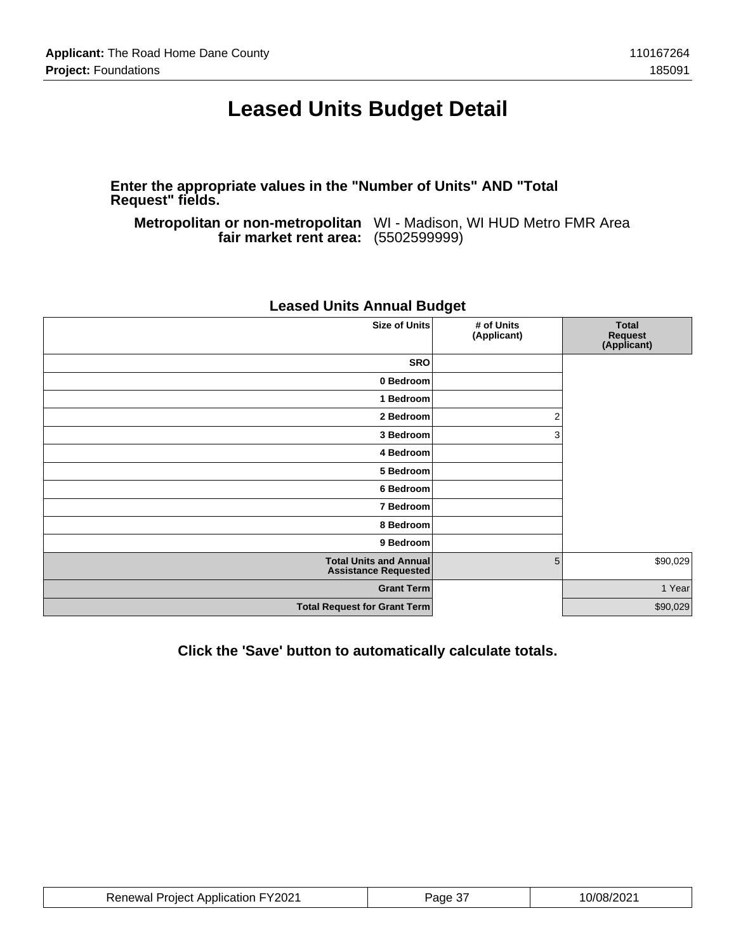## **Leased Units Budget Detail**

**Enter the appropriate values in the "Number of Units" AND "Total Request" fields.**

**Metropolitan or non-metropolitan** WI - Madison, WI HUD Metro FMR Area **fair market rent area:** (5502599999)

|                                                              | $\tilde{\phantom{a}}$     |                                        |
|--------------------------------------------------------------|---------------------------|----------------------------------------|
| <b>Size of Units</b>                                         | # of Units<br>(Applicant) | <b>Total</b><br>Request<br>(Applicant) |
| <b>SRO</b>                                                   |                           |                                        |
| 0 Bedroom                                                    |                           |                                        |
| 1 Bedroom                                                    |                           |                                        |
| 2 Bedroom                                                    | 2                         |                                        |
| 3 Bedroom                                                    | 3                         |                                        |
| 4 Bedroom                                                    |                           |                                        |
| 5 Bedroom                                                    |                           |                                        |
| 6 Bedroom                                                    |                           |                                        |
| 7 Bedroom                                                    |                           |                                        |
| 8 Bedroom                                                    |                           |                                        |
| 9 Bedroom                                                    |                           |                                        |
| <b>Total Units and Annual</b><br><b>Assistance Requested</b> | 5                         | \$90,029                               |
| <b>Grant Term</b>                                            |                           | 1 Year                                 |
| <b>Total Request for Grant Term</b>                          |                           | \$90,029                               |
|                                                              |                           |                                        |

### **Leased Units Annual Budget**

**Click the 'Save' button to automatically calculate totals.**

| <b>Renewal Project Application FY2021</b> | Page 37 | 10/08/2021 |
|-------------------------------------------|---------|------------|
|-------------------------------------------|---------|------------|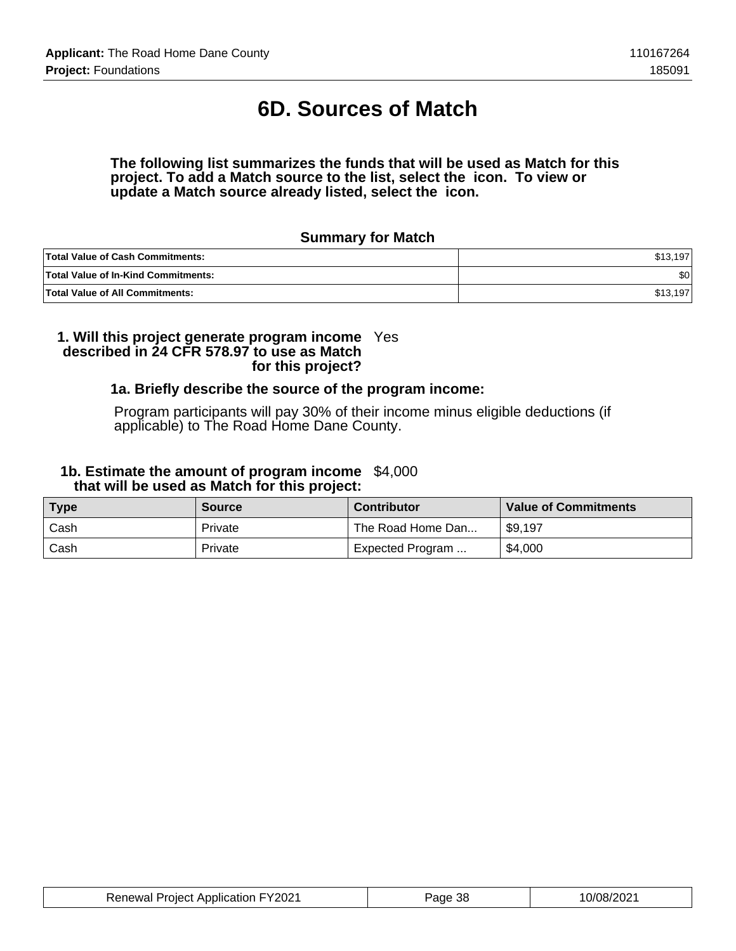## **6D. Sources of Match**

#### **The following list summarizes the funds that will be used as Match for this project. To add a Match source to the list, select the icon. To view or update a Match source already listed, select the icon.**

### **Summary for Match**

| <b>Total Value of Cash Commitments:</b>    | \$13.197 |
|--------------------------------------------|----------|
| <b>Total Value of In-Kind Commitments:</b> | \$0 I    |
| <b>Total Value of All Commitments:</b>     | \$13,197 |

#### **1. Will this project generate program income** Yes **described in 24 CFR 578.97 to use as Match for this project?**

#### **1a. Briefly describe the source of the program income:**

Program participants will pay 30% of their income minus eligible deductions (if applicable) to The Road Home Dane County.

#### **1b. Estimate the amount of program income** \$4,000  **that will be used as Match for this project:**

| <b>Type</b> | <b>Source</b> | <b>Contributor</b> | <b>Value of Commitments</b> |
|-------------|---------------|--------------------|-----------------------------|
| Cash        | Private       | The Road Home Dan  | \$9,197                     |
| Cash        | Private       | Expected Program   | \$4,000                     |

| <b>Renewal Project Application FY2021</b> | Page 38 | 10/08/2021 |
|-------------------------------------------|---------|------------|
|-------------------------------------------|---------|------------|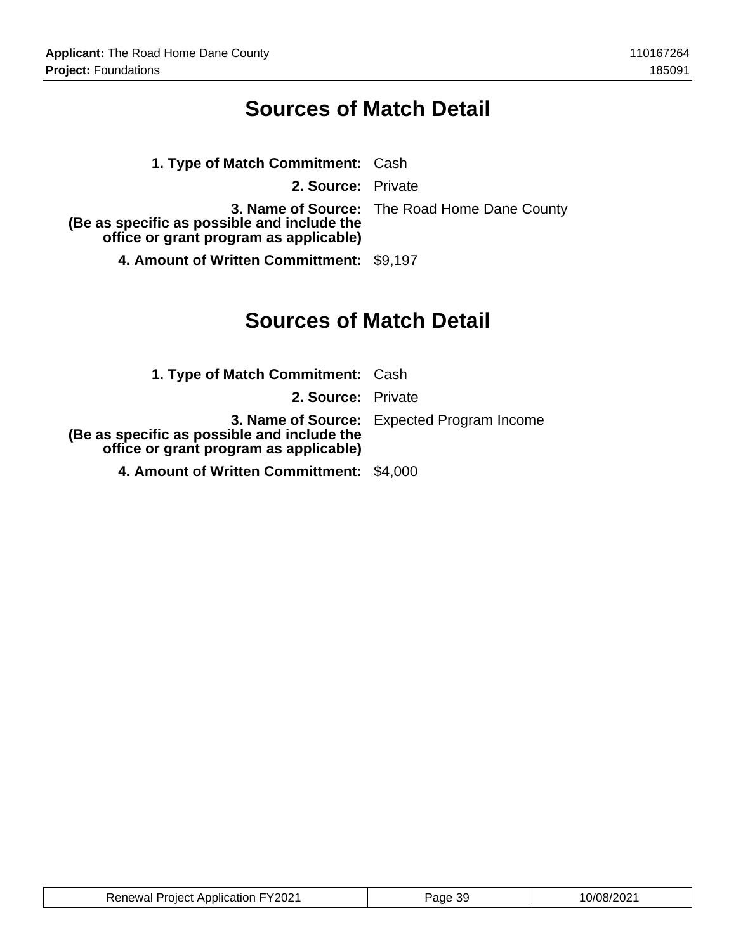## **Sources of Match Detail**

| <b>1. Type of Match Commitment: Cash</b>                                              |                                              |
|---------------------------------------------------------------------------------------|----------------------------------------------|
| 2. Source: Private                                                                    |                                              |
| (Be as specific as possible and include the<br>office or grant program as applicable) | 3. Name of Source: The Road Home Dane County |
| 4. Amount of Written Committment: \$9,197                                             |                                              |

## **Sources of Match Detail**

| 1. Type of Match Commitment: Cash                                                     |                                            |
|---------------------------------------------------------------------------------------|--------------------------------------------|
| 2. Source: Private                                                                    |                                            |
| (Be as specific as possible and include the<br>office or grant program as applicable) | 3. Name of Source: Expected Program Income |
| 4. Amount of Written Committment: \$4,000                                             |                                            |

| <b>Renewal Project Application FY2021</b> | Page 39 | 10/08/2021 |
|-------------------------------------------|---------|------------|
|-------------------------------------------|---------|------------|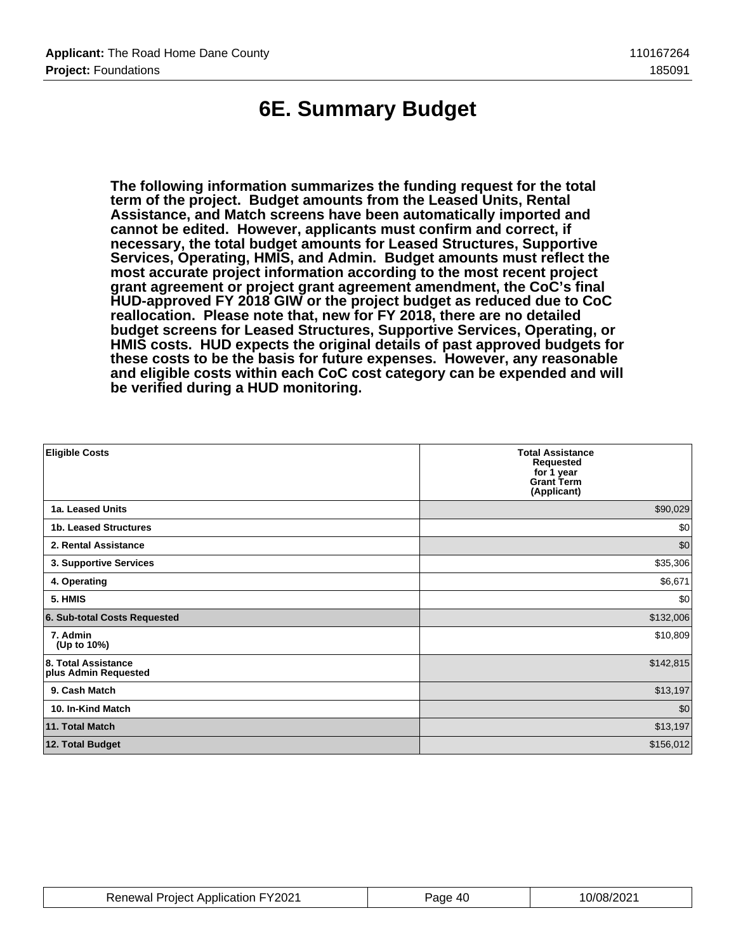# **6E. Summary Budget**

**The following information summarizes the funding request for the total term of the project. Budget amounts from the Leased Units, Rental Assistance, and Match screens have been automatically imported and cannot be edited. However, applicants must confirm and correct, if necessary, the total budget amounts for Leased Structures, Supportive Services, Operating, HMIS, and Admin. Budget amounts must reflect the most accurate project information according to the most recent project grant agreement or project grant agreement amendment, the CoC's final HUD-approved FY 2018 GIW or the project budget as reduced due to CoC reallocation. Please note that, new for FY 2018, there are no detailed budget screens for Leased Structures, Supportive Services, Operating, or HMIS costs. HUD expects the original details of past approved budgets for these costs to be the basis for future expenses. However, any reasonable and eligible costs within each CoC cost category can be expended and will be verified during a HUD monitoring.**

| <b>Eligible Costs</b>                       | <b>Total Assistance</b><br>Requested<br>for 1 year<br><b>Grant Term</b><br>(Applicant) |
|---------------------------------------------|----------------------------------------------------------------------------------------|
| 1a. Leased Units                            | \$90,029                                                                               |
| 1b. Leased Structures                       | \$0                                                                                    |
| 2. Rental Assistance                        | \$0                                                                                    |
| 3. Supportive Services                      | \$35,306                                                                               |
| 4. Operating                                | \$6,671                                                                                |
| 5. HMIS                                     | \$0                                                                                    |
| 6. Sub-total Costs Requested                | \$132,006                                                                              |
| 7. Admin<br>(Up to 10%)                     | \$10,809                                                                               |
| 8. Total Assistance<br>plus Admin Requested | \$142,815                                                                              |
| 9. Cash Match                               | \$13,197                                                                               |
| 10. In-Kind Match                           | \$0                                                                                    |
| 11. Total Match                             | \$13,197                                                                               |
| 12. Total Budget                            | \$156,012                                                                              |

| <b>Renewal Project Application FY2021</b> | Page 40 | 10/08/2021 |
|-------------------------------------------|---------|------------|
|-------------------------------------------|---------|------------|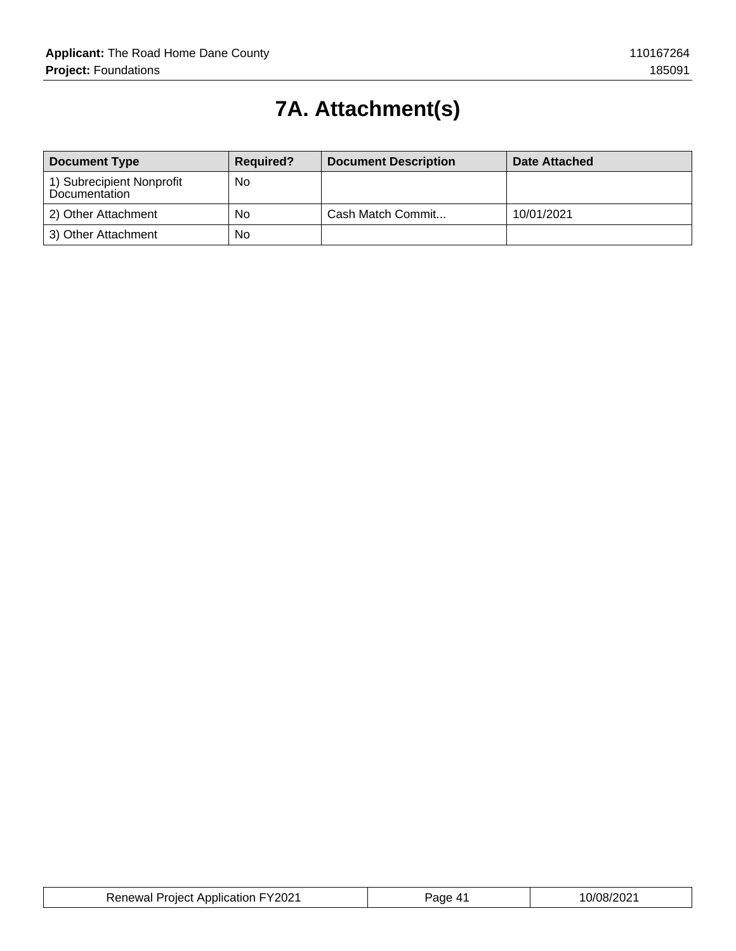# **7A. Attachment(s)**

| <b>Document Type</b>                       | <b>Required?</b> | <b>Document Description</b> | Date Attached |
|--------------------------------------------|------------------|-----------------------------|---------------|
| 1) Subrecipient Nonprofit<br>Documentation | No               |                             |               |
| 2) Other Attachment                        | No               | Cash Match Commit           | 10/01/2021    |
| 3) Other Attachment                        | No               |                             |               |

| <b>Renewal Project Application FY2021</b> | Page 4 <sup>*</sup> | 10/08/2021 |
|-------------------------------------------|---------------------|------------|
|-------------------------------------------|---------------------|------------|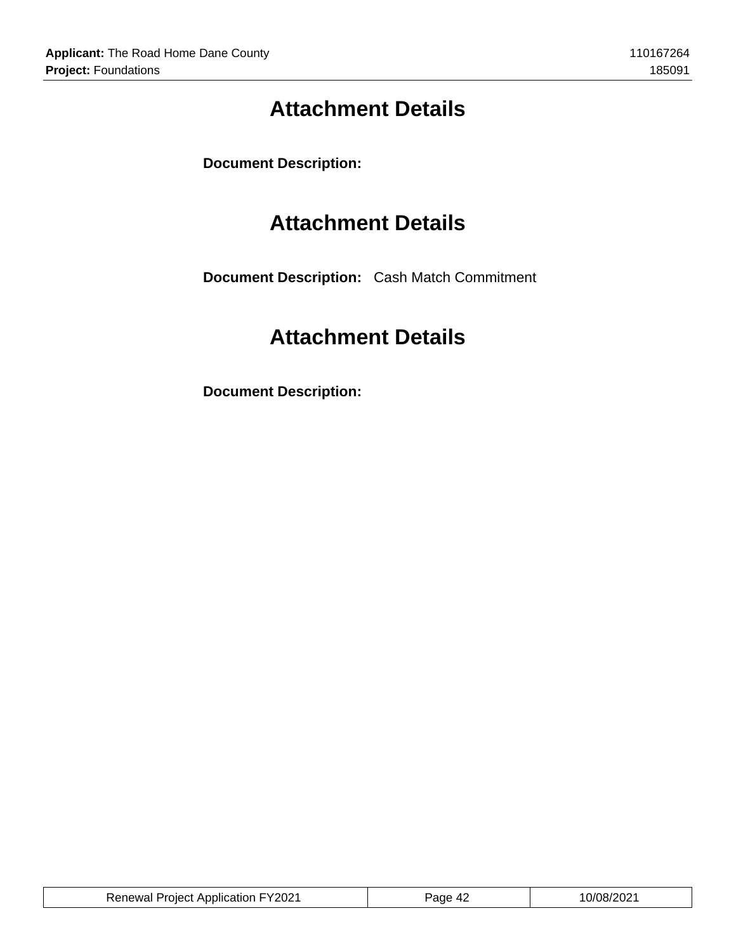## **Attachment Details**

**Document Description:**

## **Attachment Details**

**Document Description:** Cash Match Commitment

## **Attachment Details**

**Document Description:**

| <b>Renewal Project Application FY2021</b> | Page 42 | 0/08/2021 |
|-------------------------------------------|---------|-----------|
|                                           |         |           |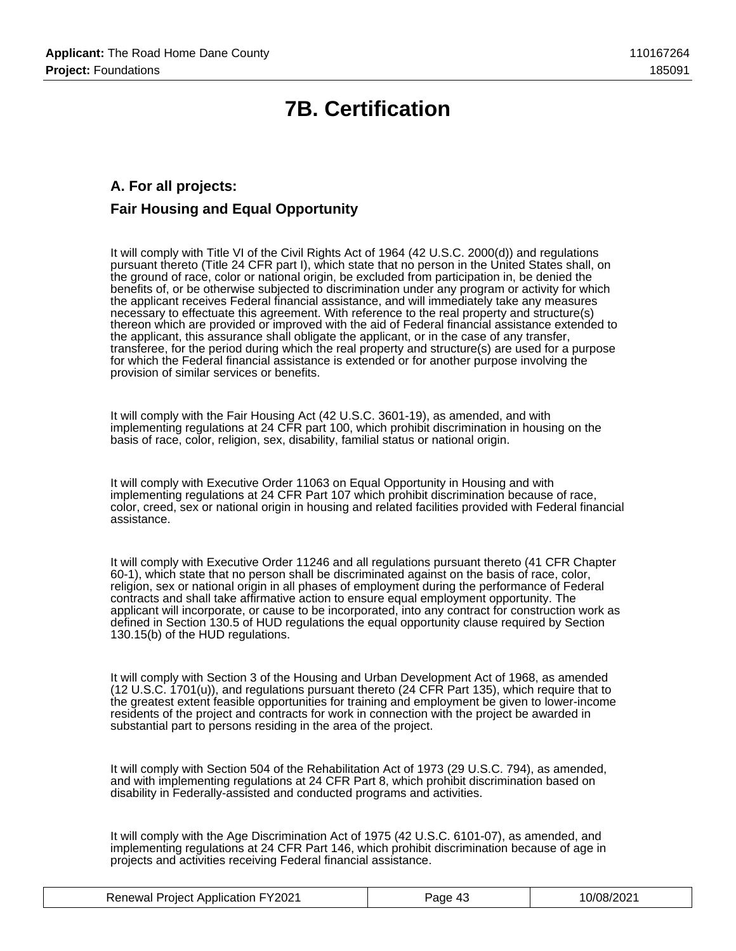# **7B. Certification**

### **A. For all projects: Fair Housing and Equal Opportunity**

It will comply with Title VI of the Civil Rights Act of 1964 (42 U.S.C. 2000(d)) and regulations pursuant thereto (Title 24 CFR part I), which state that no person in the United States shall, on the ground of race, color or national origin, be excluded from participation in, be denied the benefits of, or be otherwise subjected to discrimination under any program or activity for which the applicant receives Federal financial assistance, and will immediately take any measures necessary to effectuate this agreement. With reference to the real property and structure(s) thereon which are provided or improved with the aid of Federal financial assistance extended to the applicant, this assurance shall obligate the applicant, or in the case of any transfer, transferee, for the period during which the real property and structure(s) are used for a purpose for which the Federal financial assistance is extended or for another purpose involving the provision of similar services or benefits.

It will comply with the Fair Housing Act (42 U.S.C. 3601-19), as amended, and with implementing regulations at 24 CFR part 100, which prohibit discrimination in housing on the basis of race, color, religion, sex, disability, familial status or national origin.

It will comply with Executive Order 11063 on Equal Opportunity in Housing and with implementing regulations at 24 CFR Part 107 which prohibit discrimination because of race, color, creed, sex or national origin in housing and related facilities provided with Federal financial assistance.

It will comply with Executive Order 11246 and all regulations pursuant thereto (41 CFR Chapter 60-1), which state that no person shall be discriminated against on the basis of race, color, religion, sex or national origin in all phases of employment during the performance of Federal contracts and shall take affirmative action to ensure equal employment opportunity. The applicant will incorporate, or cause to be incorporated, into any contract for construction work as defined in Section 130.5 of HUD regulations the equal opportunity clause required by Section 130.15(b) of the HUD regulations.

It will comply with Section 3 of the Housing and Urban Development Act of 1968, as amended (12 U.S.C. 1701(u)), and regulations pursuant thereto (24 CFR Part 135), which require that to the greatest extent feasible opportunities for training and employment be given to lower-income residents of the project and contracts for work in connection with the project be awarded in substantial part to persons residing in the area of the project.

It will comply with Section 504 of the Rehabilitation Act of 1973 (29 U.S.C. 794), as amended, and with implementing regulations at 24 CFR Part 8, which prohibit discrimination based on disability in Federally-assisted and conducted programs and activities.

It will comply with the Age Discrimination Act of 1975 (42 U.S.C. 6101-07), as amended, and implementing regulations at 24 CFR Part 146, which prohibit discrimination because of age in projects and activities receiving Federal financial assistance.

| <b>Renewal Project Application FY2021</b> | Page 43 | 10/08/2021 |
|-------------------------------------------|---------|------------|
|-------------------------------------------|---------|------------|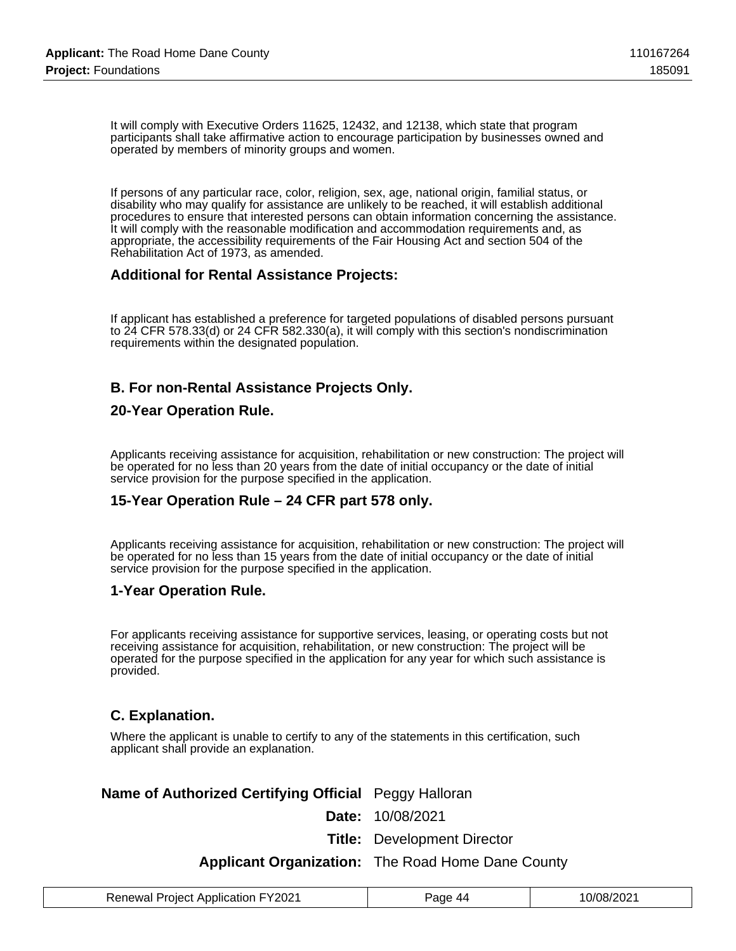It will comply with Executive Orders 11625, 12432, and 12138, which state that program participants shall take affirmative action to encourage participation by businesses owned and operated by members of minority groups and women.

If persons of any particular race, color, religion, sex, age, national origin, familial status, or disability who may qualify for assistance are unlikely to be reached, it will establish additional procedures to ensure that interested persons can obtain information concerning the assistance. It will comply with the reasonable modification and accommodation requirements and, as appropriate, the accessibility requirements of the Fair Housing Act and section 504 of the Rehabilitation Act of 1973, as amended.

#### **Additional for Rental Assistance Projects:**

If applicant has established a preference for targeted populations of disabled persons pursuant to 24 CFR 578.33(d) or 24 CFR 582.330(a), it will comply with this section's nondiscrimination requirements within the designated population.

### **B. For non-Rental Assistance Projects Only.**

#### **20-Year Operation Rule.**

Applicants receiving assistance for acquisition, rehabilitation or new construction: The project will be operated for no less than 20 years from the date of initial occupancy or the date of initial service provision for the purpose specified in the application.

#### **15-Year Operation Rule – 24 CFR part 578 only.**

Applicants receiving assistance for acquisition, rehabilitation or new construction: The project will be operated for no less than 15 years from the date of initial occupancy or the date of initial service provision for the purpose specified in the application.

#### **1-Year Operation Rule.**

For applicants receiving assistance for supportive services, leasing, or operating costs but not receiving assistance for acquisition, rehabilitation, or new construction: The project will be operated for the purpose specified in the application for any year for which such assistance is provided.

#### **C. Explanation.**

Where the applicant is unable to certify to any of the statements in this certification, such applicant shall provide an explanation.

#### **Name of Authorized Certifying Official** Peggy Halloran

**Date:** 10/08/2021

**Title:** Development Director

#### **Applicant Organization:** The Road Home Dane County

| <b>Renewal Project Application FY2021</b> | Page 44 | 10/08/2021 |
|-------------------------------------------|---------|------------|
|-------------------------------------------|---------|------------|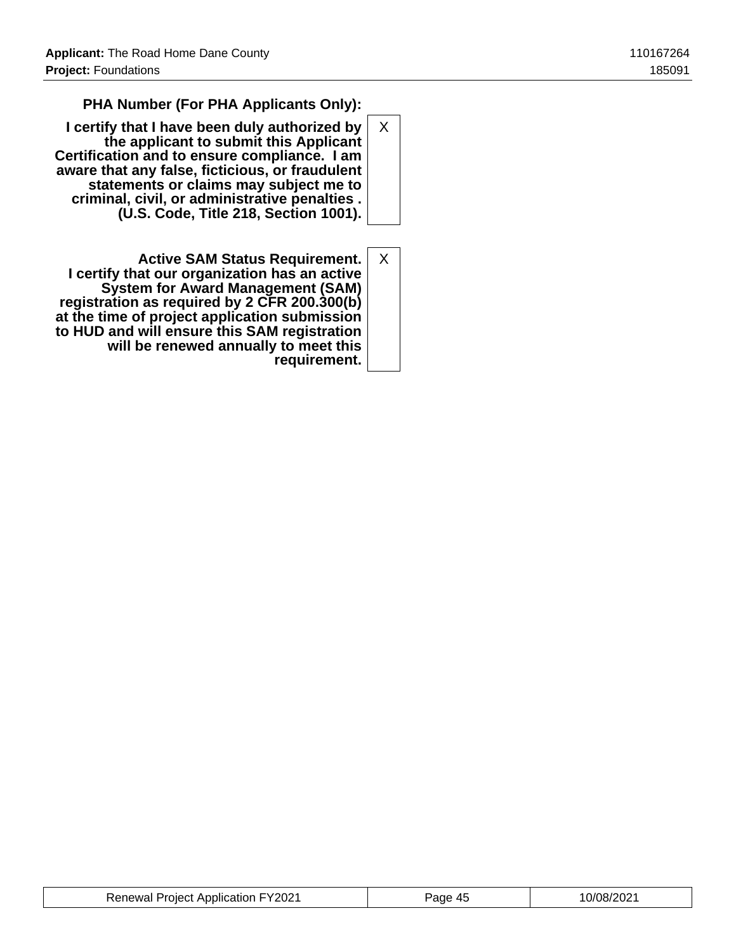### **PHA Number (For PHA Applicants Only):**

- **I certify that I have been duly authorized by the applicant to submit this Applicant Certification and to ensure compliance. I am aware that any false, ficticious, or fraudulent statements or claims may subject me to criminal, civil, or administrative penalties . (U.S. Code, Title 218, Section 1001).** X
- **Active SAM Status Requirement. I certify that our organization has an active System for Award Management (SAM) registration as required by 2 CFR 200.300(b) at the time of project application submission to HUD and will ensure this SAM registration will be renewed annually to meet this requirement.** X

| <b>Renewal Project Application FY2021</b> | Page 45 | 10/08/2021 |
|-------------------------------------------|---------|------------|
|-------------------------------------------|---------|------------|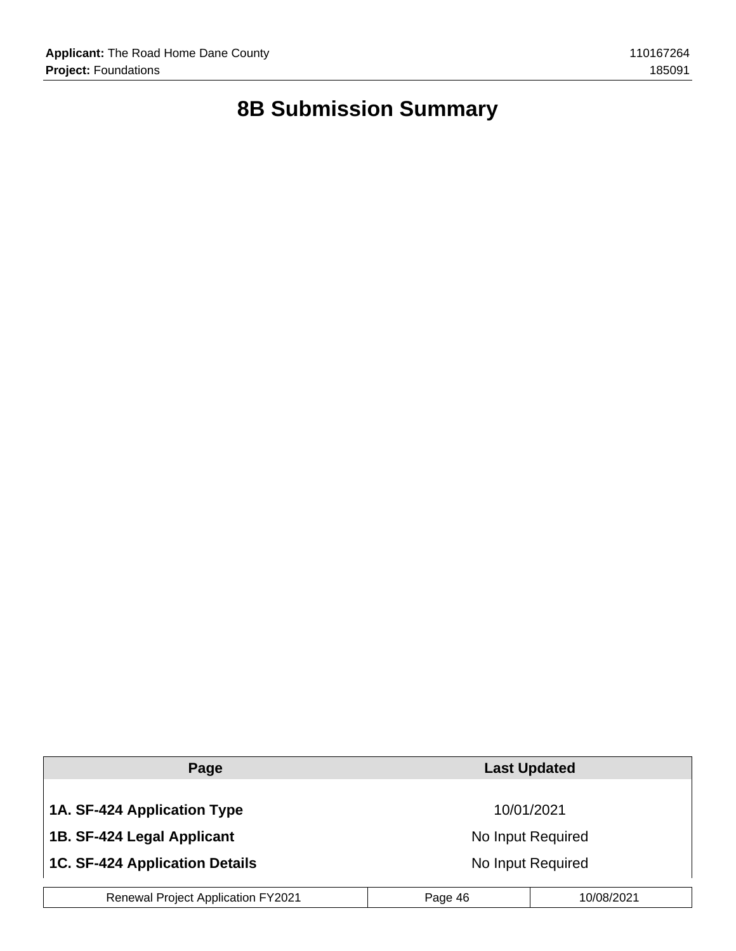# **8B Submission Summary**

| Page                                      | <b>Last Updated</b> |            |  |
|-------------------------------------------|---------------------|------------|--|
|                                           |                     |            |  |
| 1A. SF-424 Application Type               | 10/01/2021          |            |  |
| 1B. SF-424 Legal Applicant                | No Input Required   |            |  |
| 1C. SF-424 Application Details            | No Input Required   |            |  |
|                                           |                     |            |  |
| <b>Renewal Project Application FY2021</b> | Page 46             | 10/08/2021 |  |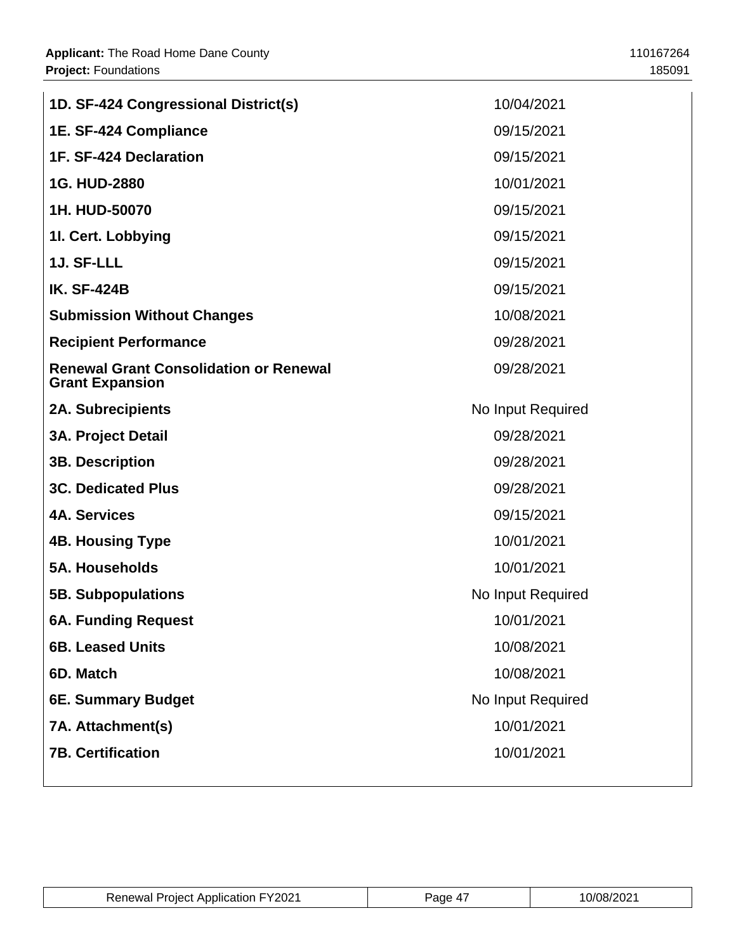| 1D. SF-424 Congressional District(s)                                    | 10/04/2021        |  |  |
|-------------------------------------------------------------------------|-------------------|--|--|
| 1E. SF-424 Compliance                                                   | 09/15/2021        |  |  |
| 1F. SF-424 Declaration                                                  | 09/15/2021        |  |  |
| 1G. HUD-2880                                                            | 10/01/2021        |  |  |
| 1H. HUD-50070                                                           | 09/15/2021        |  |  |
| 11. Cert. Lobbying                                                      | 09/15/2021        |  |  |
| 1J. SF-LLL                                                              | 09/15/2021        |  |  |
| <b>IK. SF-424B</b>                                                      | 09/15/2021        |  |  |
| <b>Submission Without Changes</b>                                       | 10/08/2021        |  |  |
| <b>Recipient Performance</b>                                            | 09/28/2021        |  |  |
| <b>Renewal Grant Consolidation or Renewal</b><br><b>Grant Expansion</b> | 09/28/2021        |  |  |
| <b>2A. Subrecipients</b>                                                | No Input Required |  |  |
| <b>3A. Project Detail</b>                                               | 09/28/2021        |  |  |
| <b>3B. Description</b>                                                  | 09/28/2021        |  |  |
| <b>3C. Dedicated Plus</b>                                               | 09/28/2021        |  |  |
| <b>4A. Services</b>                                                     | 09/15/2021        |  |  |
| <b>4B. Housing Type</b>                                                 | 10/01/2021        |  |  |
| <b>5A. Households</b>                                                   | 10/01/2021        |  |  |
| <b>5B. Subpopulations</b>                                               | No Input Required |  |  |
| <b>6A. Funding Request</b>                                              | 10/01/2021        |  |  |
| <b>6B. Leased Units</b>                                                 | 10/08/2021        |  |  |
| 6D. Match                                                               | 10/08/2021        |  |  |
| 6E. Summary Budget                                                      | No Input Required |  |  |
| 7A. Attachment(s)                                                       | 10/01/2021        |  |  |
| <b>7B. Certification</b>                                                | 10/01/2021        |  |  |
|                                                                         |                   |  |  |

| .<br>$\cdots$<br>.UZ | $-$<br><b>__</b> |  |
|----------------------|------------------|--|
|                      |                  |  |